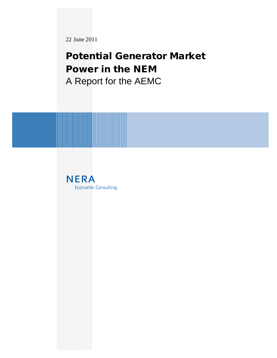22 June 2011

**Potential Generator Market Power in the NEM**  A Report for the AEMC

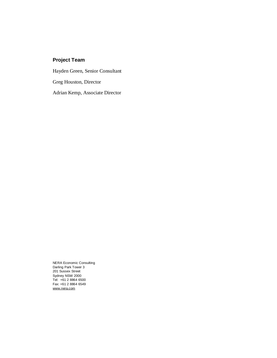# **Project Team**

Hayden Green, Senior Consultant Greg Houston, Director Adrian Kemp, Associate Director

NERA Economic Consulting Darling Park Tower 3 201 Sussex Street Sydney NSW 2000 Tel: +61 2 8864 6500 Fax: +61 2 8864 6549 [www.nera.com](http://www.nera.com)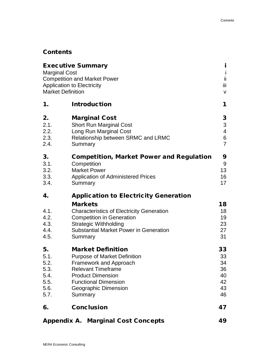# **Contents**

| <b>Executive Summary</b><br><b>Marginal Cost</b><br><b>Competition and Market Power</b><br><b>Application to Electricity</b><br><b>Market Definition</b> |                                                                                                                                                                                                                                                                                                                                                                                              |  |  |
|----------------------------------------------------------------------------------------------------------------------------------------------------------|----------------------------------------------------------------------------------------------------------------------------------------------------------------------------------------------------------------------------------------------------------------------------------------------------------------------------------------------------------------------------------------------|--|--|
| 1.                                                                                                                                                       | <b>Introduction</b>                                                                                                                                                                                                                                                                                                                                                                          |  |  |
| 2.<br>2.1.<br>2.2.<br>2.3.<br>2.4.                                                                                                                       | <b>Marginal Cost</b><br><b>Short Run Marginal Cost</b><br>Long Run Marginal Cost<br>Relationship between SRMC and LRMC<br>Summary                                                                                                                                                                                                                                                            |  |  |
| 3.<br>3.1.<br>3.2.<br>3.3.<br>3.4.                                                                                                                       | Competition, Market Power and Regulation<br>Competition<br><b>Market Power</b><br><b>Application of Administered Prices</b><br>Summary<br><b>Application to Electricity Generation</b><br><b>Markets</b><br><b>Characteristics of Electricity Generation</b><br><b>Competition in Generation</b><br><b>Strategic Withholding</b><br><b>Substantial Market Power in Generation</b><br>Summary |  |  |
| 4.<br>4.1.<br>4.2.<br>4.3.<br>4.4.<br>4.5.                                                                                                               |                                                                                                                                                                                                                                                                                                                                                                                              |  |  |
| 5.<br>5.1.<br>5.2.<br>5.3.<br>5.4.<br>5.5.<br>5.6.<br>5.7.                                                                                               | <b>Market Definition</b><br><b>Purpose of Market Definition</b><br><b>Framework and Approach</b><br><b>Relevant Timeframe</b><br><b>Product Dimension</b><br><b>Functional Dimension</b><br>Geographic Dimension<br>Summary                                                                                                                                                                  |  |  |
| 6.                                                                                                                                                       | Conclusion<br>47                                                                                                                                                                                                                                                                                                                                                                             |  |  |
| <b>Appendix A. Marginal Cost Concepts</b><br>49                                                                                                          |                                                                                                                                                                                                                                                                                                                                                                                              |  |  |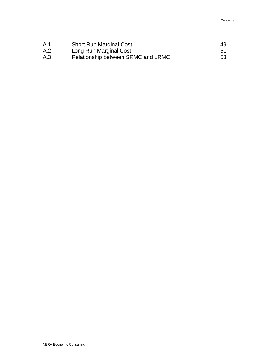| A.1. | <b>Short Run Marginal Cost</b>     | 49           |
|------|------------------------------------|--------------|
| A.2. | Long Run Marginal Cost             | $.5^{\circ}$ |
| A.3. | Relationship between SRMC and LRMC | 53           |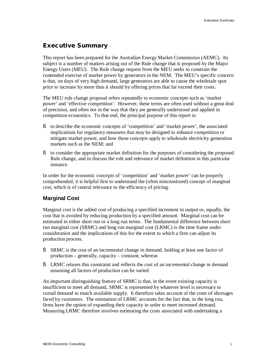# **Executive Summary**

This report has been prepared for the Australian Energy Market Commission (AEMC). Its subject is a number of matters arising out of the Rule change that is proposed by the Major Energy Users (MEU). The Rule change request from the MEU seeks to constrain the contended exercise of market power by generators in the NEM. The MEU's specific concern is that, on days of very high demand, large generators are able to cause the wholesale spot price to increase by more than it should by offering prices that far exceed their costs.

The MEU rule change proposal refers repeatedly to economic concepts such as 'market power' and 'effective competition'. However, these terms are often used without a great deal of precision, and often not in the way that they are generally understood and applied in competition economics. To that end, the principal purpose of this report is:

- § to describe the economic concepts of 'competition' and 'market power', the associated implications for regulatory measures that may be designed to enhance competition or mitigate market power, and how those concepts apply to wholesale electricity generation markets such as the NEM; and
- § to consider the appropriate market definition for the purposes of considering the proposed Rule change, and to discuss the role and relevance of market definition in this particular instance.

In order for the economic concepts of 'competition' and 'market power' can be properly comprehended, it is helpful first to understand the (often misconstrued) concept of marginal cost, which is of central relevance to the efficiency of pricing.

#### **Marginal Cost**

Marginal cost is the added cost of producing a specified increment in output or, equally, the cost that is avoided by reducing production by a specified amount. Marginal cost can be estimated in either short run or a long run terms. The fundamental difference between short run marginal cost (SRMC) and long run marginal cost (LRMC) is the time frame under consideration and the implications of this for the extent to which a firm can adjust its production process.

- § SRMC is the cost of an incremental change in demand, holding at least one factor of production – generally, capacity – constant; whereas
- § LRMC relaxes this constraint and reflects the cost of an incremental change in demand assuming all factors of production can be varied.

An important distinguishing feature of SRMC is that, in the event existing capacity is insufficient to meet all demand, SRMC is represented by whatever level is necessary to curtail demand to match available supply. It therefore takes account of the costs of shortages faced by customers. The estimation of LRMC accounts for the fact that, in the long run, firms have the option of expanding their capacity in order to meet increased demand. Measuring LRMC therefore involves estimating the costs associated with undertaking a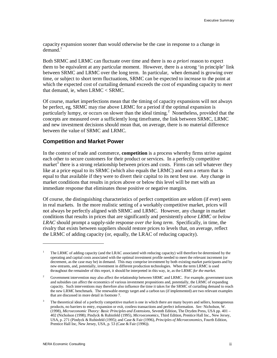capacity expansion sooner than would otherwise be the case in response to a change in  $d$ emand $<sup>1</sup>$ </sup>

Both SRMC and LRMC can fluctuate over time and there is no *a priori* reason to expect them to be equivalent at any particular moment. However, there is a strong 'in principle' link between SRMC and LRMC over the long term. In particular, when demand is growing over time, or subject to short term fluctuations, SRMC can be expected to increase to the point at which the expected cost of curtailing demand exceeds the cost of expanding capacity to *meet*  that demand, ie, when LRMC < SRMC.

Of course, market imperfections mean that the timing of capacity expansions will not always be perfect, eg, SRMC may rise above LRMC for a period if the optimal expansion is particularly lumpy, or occurs on slower than the ideal timing.<sup>2</sup> Nonetheless, provided that the concepts are measured over a sufficiently long timeframe, the link between SRMC, LRMC and new investment decisions should mean that, on average, there is no material difference between the value of SRMC and LRMC.

#### **Competition and Market Power**

In the context of trade and commerce, **competition** is a process whereby firms strive against each other to secure customers for their product or services. In a perfectly competitive market<sup>3</sup> there is a strong relationship between prices and costs. Firms can sell whatever they like at a price equal to its SRMC (which also equals the LRMC) and earn a return that is equal to that available if they were to divert their capital to its next best use. Any change in market conditions that results in prices above or below this level will be met with an immediate response that eliminates those positive or negative margins.

Of course, the distinguishing characteristics of perfect competition are seldom (if ever) seen in real markets. In the more realistic setting of a workably competitive market, prices will not always be perfectly aligned with SRMC and LRMC. However, any change in market conditions that results in prices that are significantly and persistently *above LRMC* or *below LRAC* should prompt a supply-side response *over the long term*. Specifically, in time, the rivalry that exists between suppliers should restore prices to levels that, on average, reflect the LRMC of adding capacity (or, equally, the LRAC of reducing capacity).

<sup>1</sup> The LRMC of adding capacity (and the LRAC associated with reducing capacity) will therefore be determined by the operating and capital costs associated with the optimal investment profile needed to meet the relevant increment (or decrement, as the case may be) in demand. This may comprise investment by both existing market participants and by new entrants, and, potentially, investment in different production technologies. When the term LRMC is used throughout the remainder of this report, it should be interpreted in this way, ie, as the LRMC *for the market*.

<sup>2</sup> Government intervention may also affect the relationship between SRMC and LRMC. For example, government taxes and subsidies can affect the economics of various investment propositions and, potentially, the LRMC of expanding capacity. Such interventions may therefore also influence the time it takes for the SRMC of curtailing demand to reach the new LRMC benchmark. The renewable energy target and a carbon tax (if implemented) are two relevant examples that are discussed in more detail in footnote 7.

<sup>3</sup> The theoretical ideal of a perfectly competitive market is one in which there are many buyers and sellers, homogeneous products, no barriers to entry, expansion or exit, costless transactions and perfect information. *See:* Nicholson, W. (1998), *Microeconomic Theory: Basic Principles and Extensions*, Seventh Edition, The Dryden Press, USA pp. 401 – 402 (Nicholson (1998); Pindyck & Rubinfeld (1995), *Microeconomics*, Third Edition, Prentice Hall Inc., New Jersey, USA, p. 271 (Pindyck & Rubinfeld (1995); and Case & Fair (1996), *Principles of Microeconomics*, Fourth Edition, Prentice Hall Inc, New Jersey, USA, p. 53 (Case & Fair (1996)).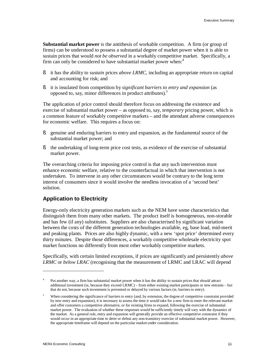**Substantial market power** is the antithesis of workable competition. A firm (or group of firms) can be understood to possess a substantial degree of market power when it is able to sustain prices that would *not be observed* in a workably competitive market. Specifically, a firm can only be considered to have substantial market power when:<sup>4</sup>

- § it has the ability to *sustain* prices *above LRMC*, including an appropriate return on capital and accounting for risk; and
- § it is insulated from competition by *significant barriers to entry and expansion* (as opposed to, say, minor differences in product attributes).<sup>5</sup>

The application of price control should therefore focus on addressing the existence and exercise of substantial market power – as opposed to, say, *temporary* pricing power, which is a common feature of workably competitive markets – and the attendant adverse consequences for economic welfare. This requires a focus on:

- § genuine and enduring barriers to entry and expansion, as the fundamental source of the substantial market power; and
- § the undertaking of long-term price cost tests, as evidence of the exercise of substantial market power.

The overarching criteria for imposing price control is that any such intervention must enhance economic welfare, relative to the counterfactual in which that intervention is not undertaken. To intervene in any other circumstances would be contrary to the long term interest of consumers since it would involve the needless invocation of a 'second best' solution.

# **Application to Electricity**

Energy-only electricity generation markets such as the NEM have some characteristics that distinguish them from many other markets. The product itself is homogeneous, non-storable and has few (if any) substitutes. Suppliers are also characterised by significant variation between the costs of the different generation technologies available, eg, base load, mid-merit and peaking plants. Prices are also highly dynamic, with a new 'spot price' determined every thirty minutes. Despite those differences, a workably competitive wholesale electricity spot market functions no differently from most other workably competitive markets.

Specifically, with certain limited exceptions, if prices are significantly and persistently *above LRMC* or *below LRAC* (recognising that the measurement of LRMC and LRAC will depend

<sup>4</sup> Put another way, a firm has substantial market power when it has the ability to sustain prices that *should* attract additional investment (ie, because they exceed LRMC) – from either existing market participants or new entrants – but that do not, because such investment is prevented or delayed by various factors (ie, barriers to entry).

<sup>5</sup> When considering the significance of barriers to entry (and, by extension, the degree of competitive constraint provided by new entry and expansion), it is necessary to assess the time it would take for a new firm to enter the relevant market and offer customers a competitive alternative, or for existing firms to expand, following the exercise of substantial market power. The evaluation of whether these responses would be sufficiently timely will vary with the dynamics of the market. As a general rule, entry and expansion will generally provide an effective competitive constraint if they would occur in an appropriate time to deter or defeat any non-transitory exercise of substantial market power. However, the appropriate timeframe will depend on the particular market under consideration.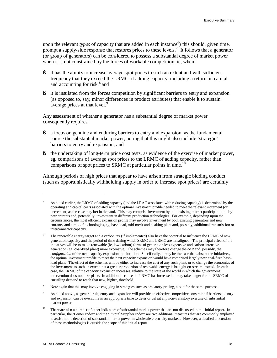upon the relevant *types* of capacity that are added in each instance<sup>6</sup>) this should, given time, prompt a supply-side response that restores prices to these levels.<sup>7</sup> It follows that a generator (or group of generators) can be considered to possess a substantial degree of market power when it is not constrained by the forces of workable competition, ie, when:

- § it has the ability to increase average spot prices to such an extent and with sufficient frequency that they exceed the LRMC of adding capacity, including a return on capital and accounting for risk; $^8$  and
- § it is insulated from the forces competition by significant barriers to entry and expansion (as opposed to, say, minor differences in product attributes) that enable it to sustain average prices at that level.<sup>9</sup>

Any assessment of whether a generator has a substantial degree of market power consequently requires:

- § a focus on genuine and enduring barriers to entry and expansion, as the fundamental source the substantial market power, noting that this might also include 'strategic' barriers to entry and expansion; and
- § the undertaking of long-term price cost tests, as evidence of the exercise of market power, eg, comparisons of average spot prices to the LRMC of adding capacity, rather than comparisons of spot prices to SRMC at particular points in time.<sup>10</sup>

Although periods of high prices that appear to have arisen from strategic bidding conduct (such as opportunistically withholding supply in order to increase spot prices) are certainly

<sup>6</sup> As noted earlier, the LRMC of adding capacity (and the LRAC associated with reducing capacity) is determined by the operating and capital costs associated with the optimal investment profile needed to meet the relevant increment (or decrement, as the case may be) in demand. This may comprise investment by both existing market participants and by new entrants and, potentially, investment in different production technologies. For example, depending upon the circumstances, the most efficient expansion profile may involve investment by both existing generators and new entrants, and a mix of technologies, eg, base-load, mid-merit and peaking plant and, possibly, additional transmission or interconnector capacity.

<sup>7</sup> The renewable energy target and a carbon tax (if implemented) also have the potential to influence the LRMC of new generation capacity and the period of time during which SRMC and LRMC are misaligned. The principal effect of the initiatives will be to make renewable (ie, low carbon) forms of generation less expensive and carbon-intensive generation (eg, coal-fired plant) more expensive. The schemes may therefore change the *cost* and, possibly, the *configuration* of the next capacity expansion in a location. Specifically, it may be the case that, absent the initiatives, the optimal investment profile to meet the next capacity expansion would have comprised largely new coal-fired baseload plant. The effect of the schemes will be either to increase the cost of any such plant, or to change the economics of the investment to such an extent that a greater proportion of renewable energy is brought on-stream instead. In each case, the LRMC of the capacity expansion increases, relative to the state of the world in which the government intervention does not take place. In addition, because the LRMC has increased, it may take longer for the SRMC of curtailing demand to reach that new, higher, threshold.

<sup>8</sup> Note again that this may involve engaging in strategies such as predatory pricing, albeit for the same purpose.

<sup>9</sup> As noted above, as general rule, entry and expansion will provide an effective competitive constraint if barriers to entry and expansion can be overcome in an appropriate time to deter or defeat any non-transitory exercise of substantial market power.

<sup>10</sup> There are also a number of other indicators of substantial market power that are not discussed in this initial report. In particular, the 'Lerner Index' and the 'Pivotal Supplier Index' are two additional measures that are commonly employed to assist in the detection of substantial market power in wholesale electricity markets. However, a detailed discussion of these methodologies is outside the scope of this initial report.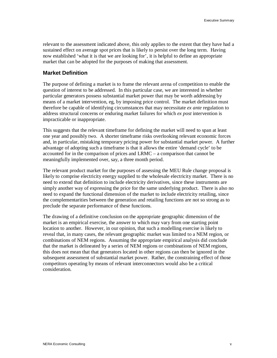relevant to the assessment indicated above, this only applies to the extent that they have had a sustained effect on average spot prices that is likely to persist over the long term. Having now established 'what it is that we are looking for', it is helpful to define an appropriate market that can be adopted for the purposes of making that assessment.

# **Market Definition**

The purpose of defining a market is to frame the relevant arena of competition to enable the question of interest to be addressed. In this particular case, we are interested in whether particular generators possess substantial market power that may be worth addressing by means of a market intervention, eg, by imposing price control. The market definition must therefore be capable of identifying circumstances that may necessitate *ex ante* regulation to address structural concerns or enduring market failures for which *ex post* intervention is impracticable or inappropriate.

This suggests that the relevant timeframe for defining the market will need to span at least one year and possibly two. A shorter timeframe risks overlooking relevant economic forces and, in particular, mistaking temporary pricing power for substantial market power. A further advantage of adopting such a timeframe is that it allows the entire 'demand cycle' to be accounted for in the comparison of prices and LRMC – a comparison that cannot be meaningfully implemented over, say, a three month period.

The relevant product market for the purposes of assessing the MEU Rule change proposal is likely to comprise electricity energy supplied to the wholesale electricity market. There is no need to extend that definition to include electricity derivatives, since these instruments are simply another way of expressing the price for the same underlying product. There is also no need to expand the functional dimension of the market to include electricity retailing, since the complementarities between the generation and retailing functions are not so strong as to preclude the separate performance of these functions.

The drawing of a definitive conclusion on the appropriate geographic dimension of the market is an empirical exercise, the answer to which may vary from one starting point location to another. However, in our opinion, that such a modelling exercise is likely to reveal that, in many cases, the relevant geographic market was limited to a NEM region, or combinations of NEM regions. Assuming the appropriate empirical analysis did conclude that the market is delineated by a series of NEM regions or combinations of NEM regions, this does not mean that that generators located in other regions can then be ignored in the subsequent assessment of substantial market power. Rather, the constraining effect of those competitors operating by means of relevant interconnectors would also be a critical consideration.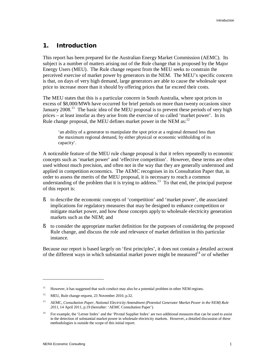### **1. Introduction**

This report has been prepared for the Australian Energy Market Commission (AEMC). Its subject is a number of matters arising out of the Rule change that is proposed by the Major Energy Users (MEU). The Rule change request from the MEU seeks to constrain the perceived exercise of market power by generators in the NEM. The MEU's specific concern is that, on days of very high demand, large generators are able to cause the wholesale spot price to increase more than it should by offering prices that far exceed their costs.

The MEU states that this is a particular concern in South Australia, where spot prices in excess of \$8,000/MWh have occurred for brief periods on more than twenty occasions since January 2008.<sup>11</sup> The basic idea of the MEU proposal is to prevent these periods of very high prices – at least insofar as they arise from the exercise of so called 'market power'. In its Rule change proposal, the MEU defines market power in the NEM as:<sup>12</sup>

'an ability of a generator to manipulate the spot price at a regional demand less than the maximum regional demand, by either physical or economic withholding of its capacity'.

A noticeable feature of the MEU rule change proposal is that it refers repeatedly to economic concepts such as 'market power' and 'effective competition'. However, these terms are often used without much precision, and often not in the way that they are generally understood and applied in competition economics. The AEMC recognises in its Consultation Paper that, in order to assess the merits of the MEU proposal, it is necessary to reach a common understanding of the problem that it is trying to address.<sup>13</sup> To that end, the principal purpose of this report is:

- § to describe the economic concepts of 'competition' and 'market power', the associated implications for regulatory measures that may be designed to enhance competition or mitigate market power, and how those concepts apply to wholesale electricity generation markets such as the NEM; and
- § to consider the appropriate market definition for the purposes of considering the proposed Rule change, and discuss the role and relevance of market definition in this particular instance.

Because our report is based largely on 'first principles', it does not contain a detailed account of the different ways in which substantial market power might be measured<sup>14</sup> or of whether

<sup>11</sup> However, it has suggested that such conduct may also be a potential problem in other NEM regions.

<sup>12</sup> MEU, Rule change request, 23 November 2010, p.32.

<sup>13</sup> AEMC, *Consultation Paper, National Electricity Amendment (Potential Generator Market Power in the NEM) Rule 2011*, 14 April 2011, p.19 (hereafter: 'AEMC Consultation Paper').

<sup>14</sup> For example, the 'Lerner Index' and the 'Pivotal Supplier Index' are two additional measures that can be used to assist in the detection of substantial market power in wholesale electricity markets. However, a detailed discussion of these methodologies is outside the scope of this initial report.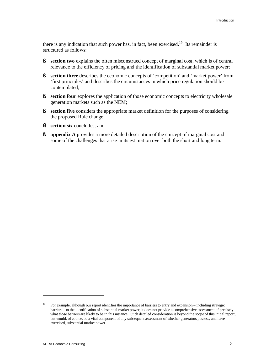there is any indication that such power has, in fact, been exercised.<sup>15</sup> Its remainder is structured as follows:

- § **section two** explains the often misconstrued concept of marginal cost, which is of central relevance to the efficiency of pricing and the identification of substantial market power;
- § **section three** describes the economic concepts of 'competition' and 'market power' from 'first principles' and describes the circumstances in which price regulation should be contemplated;
- § **section four** explores the application of those economic concepts to electricity wholesale generation markets such as the NEM;
- § **section five** considers the appropriate market definition for the purposes of considering the proposed Rule change;
- **§ section six** concludes; and
- § **appendix A** provides a more detailed description of the concept of marginal cost and some of the challenges that arise in its estimation over both the short and long term.

<sup>15</sup> For example, although our report identifies the importance of barriers to entry and expansion – including strategic barriers – to the identification of substantial market power, it does not provide a comprehensive assessment of precisely what those barriers are likely to be in this instance. Such detailed consideration is beyond the scope of this initial report, but would, of course, be a vital component of any subsequent assessment of whether generators possess, and have exercised, substantial market power.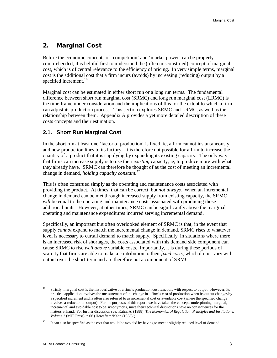# **2. Marginal Cost**

Before the economic concepts of 'competition' and 'market power' can be properly comprehended, it is helpful first to understand the (often misconstrued) concept of marginal cost, which is of central relevance to the efficiency of pricing. In very simple terms, marginal cost is the additional cost that a firm incurs (avoids) by increasing (reducing) output by a specified increment.<sup>16</sup>

Marginal cost can be estimated in either short run or a long run terms. The fundamental difference between short run marginal cost (SRMC) and long run marginal cost (LRMC) is the time frame under consideration and the implications of this for the extent to which a firm can adjust its production process. This section explores SRMC and LRMC, as well as the relationship between them. Appendix A provides a yet more detailed description of these costs concepts and their estimation.

# **2.1. Short Run Marginal Cost**

In the short run at least one 'factor of production' is fixed, ie, a firm cannot instantaneously add new production lines to its factory. It is therefore not possible for a firm to increase the quantity of a product that it is supplying by expanding its existing capacity. The only way that firms can increase supply is to use their *existing* capacity, ie, to produce more with what they already have. SRMC can therefore be thought of as the cost of meeting an incremental change in demand, *holding capacity constant.<sup>17</sup>*

This is often construed simply as the operating and maintenance costs associated with providing the product. At times, that can be correct, but *not always*. When an incremental change in demand can be met through increased supply from existing capacity, the SRMC *will* be equal to the operating and maintenance costs associated with producing those additional units. However, at other times, SRMC can be significantly above the marginal operating and maintenance expenditures incurred serving incremental demand.

Specifically, an important but often overlooked element of SRMC is that, in the event that supply *cannot* expand to match the incremental change in demand, SRMC rises to whatever level is necessary to curtail demand to match supply. Specifically, in situations where there is an increased risk of shortages, the costs associated with this demand side component can cause SRMC to rise *well above* variable costs. Importantly, it is during these periods of scarcity that firms are able to make a contribution to their *fixed costs*, which do not vary with output over the short-term and are therefore not a component of SRMC.

<sup>16</sup> Strictly, marginal cost is the first derivative of a firm's production cost function, with respect to output. However, its practical application involves the measurement of the change in a firm's cost of production when its output changes by a specified increment and is often also referred to as incremental cost or avoidable cost (where the specified change involves a reduction in output). For the purposes of this report, we have taken the concepts underpinning marginal, incremental and avoidable cost to be synonymous, since their technical distinctions have no consequences for the matters at hand. For further discussion *see:* Kahn, A, (1988), *The Economics of Regulation, Principles and Institutions, Volume 1* (MIT Press), p.66 (Hereafter: 'Kahn (1988)').

<sup>17</sup> It can also be specified as the cost that would be avoided by having to meet a slightly reduced level of demand.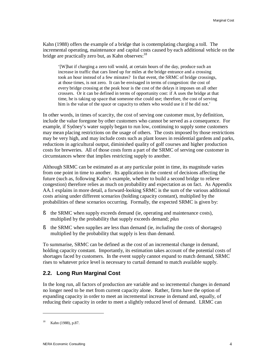Kahn (1988) offers the example of a bridge that is contemplating charging a toll. The incremental operating, maintenance and capital costs caused by each additional vehicle on the bridge are practically zero but, as Kahn observes:<sup>18</sup>

'[W]hat if charging a zero toll would, at certain hours of the day, produce such an increase in traffic that cars lined up for miles at the bridge entrance and a crossing took an hour instead of a few minutes? In that event, the SRMC of bridge crossings, at those times, is not zero. It can be envisaged in terms of congestion: the cost of every bridge crossing at the peak hour is the cost of the delays it imposes on all other crossers. Or it can be defined in terms of opportunity cost: if A uses the bridge at that time, he is taking up space that someone else could use; therefore, the cost of serving him is the value of the space or capacity to others who would use it if he did not.'

In other words, in times of scarcity, the cost of serving one customer must, by definition, include the value foregone by other customers who cannot be served as a consequence. For example, if Sydney's water supply began to run low, continuing to supply some customers may mean placing restrictions on the usage of others. The costs imposed by those restrictions may be very high, and may include costs such as plant losses in residential gardens and parks, reductions in agricultural output, diminished quality of golf courses and higher production costs for breweries. All of those costs form a part of the SRMC of serving one customer in circumstances where that implies restricting supply to another.

Although SRMC can be estimated as at any particular point in time, its magnitude varies from one point in time to another. Its application in the context of decisions affecting the future (such as, following Kahn's example, whether to build a second bridge to relieve congestion) therefore relies as much on probability and expectation as on fact. As Appendix AA.1 explains in more detail, a forward-looking SRMC is the sum of the various additional costs arising under different scenarios (holding capacity constant), multiplied by the probabilities of these scenarios occurring. Formally, the expected SRMC is given by:

- § the SRMC when supply exceeds demand (ie, operating and maintenance costs), multiplied by the probability that supply exceeds demand; *plus*
- § the SRMC when supplies are less than demand (ie, *including* the costs of shortages) multiplied by the probability that supply is less than demand.

To summarise, SRMC can be defined as the cost of an incremental change in demand, holding capacity constant. Importantly, its estimation takes account of the potential costs of shortages faced by customers. In the event supply cannot expand to match demand, SRMC rises to whatever price level is necessary to curtail demand to match available supply.

# **2.2. Long Run Marginal Cost**

In the long run, all factors of production are variable and so incremental changes in demand no longer need to be met from current capacity alone. Rather, firms have the option of expanding capacity in order to meet an incremental increase in demand and, equally, of reducing their capacity in order to meet a slightly reduced level of demand. LRMC can

<sup>18</sup> Kahn (1988), p.87.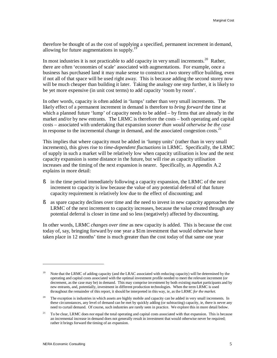therefore be thought of as the cost of supplying a specified, permanent increment in demand, allowing for future augmentations in supply.<sup>19</sup>

In most industries it is not practicable to add capacity in very small increments.<sup>20</sup> Rather, there are often 'economies of scale' associated with augmentations. For example, once a business has purchased land it may make sense to construct a two storey office building, even if not all of that space will be used right away. This is because adding the second storey now will be much cheaper than building it later. Taking the analogy one step further, it is likely to be yet more expensive (in unit cost terms) to add capacity 'room by room'.

In other words, capacity is often added in 'lumps' rather than very small increments. The likely effect of a permanent increment in demand is therefore to *bring forward* the time at which a planned future 'lump' of capacity needs to be added – by firms that are already in the market and/or by new entrants. The LRMC is therefore the costs – both operating and capital costs – associated with undertaking that expansion *sooner than would otherwise be the case*  in response to the incremental change in demand, and the associated congestion costs. $^{21}$ 

This implies that where capacity must be added in 'lumpy units' (rather than in very small increments), this gives rise to *time-dependent fluctuations* in LRMC. Specifically, the LRMC of supply in such a market will be relatively low when capacity utilisation is low and the next capacity expansion is some distance in the future, but will rise as capacity utilisation increases and the timing of the next expansion is nearer. Specifically, as Appendix A.2 explains in more detail:

- § in the time period immediately following a capacity expansion, the LRMC of the next increment to capacity is low because the value of any potential deferral of that future capacity requirement is relatively low due to the effect of discounting; and
- § as spare capacity declines over time and the need to invest in new capacity approaches the LRMC of the next increment to capacity increases, because the value created through any potential deferral is closer in time and so less (negatively) affected by discounting.

In other words, LRMC *changes over time* as new capacity is added. This is because the cost today of, say, bringing forward by one year a \$1m investment that would otherwise have taken place in 12 months' time is much greater than the cost today of that same one year

<sup>19</sup> Note that the LRMC of adding capacity (and the LRAC associated with reducing capacity) will be determined by the operating and capital costs associated with the optimal investment profile needed to meet the relevant increment (or decrement, as the case may be) in demand. This may comprise investment by both existing market participants and by new entrants, and, potentially, investment in different production technologies. When the term LRMC is used throughout the remainder of this report, it should be interpreted in this way, ie, as the LRMC *for the market*.

<sup>20</sup> The exception is industries in which assets are highly mobile and capacity can be added in very small increments. In these circumstances, any level of demand can be met by quickly adding (or subtracting) capacity, ie, there is never any need to curtail demand. Of course, such industries are rarely seen in practice. We explore this in more detail below.

<sup>21</sup> To be clear, LRMC does *not* equal the total operating and capital costs associated with that expansion. This is because an incremental increase in demand does not generally result in investment that would otherwise never be required; rather it brings forward the timing of an expansion.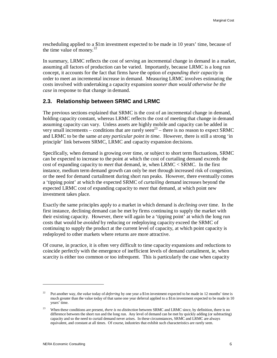rescheduling applied to a \$1m investment expected to be made in 10 years' time, because of the time value of money. $^{22}$ 

In summary, LRMC reflects the cost of serving an incremental change in demand in a market, assuming all factors of production can be varied. Importantly, because LRMC is a long run concept, it accounts for the fact that firms have the option of *expanding their capacity* in order to meet an incremental increase in demand. Measuring LRMC involves estimating the costs involved with undertaking a capacity expansion *sooner than would otherwise be the case* in response to that change in demand.

### **2.3. Relationship between SRMC and LRMC**

The previous sections explained that SRMC is the cost of an incremental change in demand, holding capacity constant, whereas LRMC reflects the cost of meeting that change in demand assuming capacity can vary. Unless assets are highly mobile and capacity can be added in very small increments – conditions that are rarely seen<sup>23</sup> – there is no reason to expect SRMC and LRMC to be the same *at any particular point in time*. However, there is still a strong 'in principle' link between SRMC, LRMC and capacity expansion decisions.

Specifically, when demand is growing over time, or subject to short term fluctuations, SRMC can be expected to increase to the point at which the cost of curtailing demand exceeds the cost of expanding capacity to *meet* that demand, ie, when LRMC < SRMC. In the first instance, medium term demand growth can only be met through increased risk of congestion, or the need for demand curtailment during short run peaks. However, there eventually comes a 'tipping point' at which the expected SRMC of *curtailing* demand increases beyond the expected LRMC cost of expanding capacity to *meet* that demand, at which point new investment takes place.

Exactly the same principles apply to a market in which demand is *declining* over time. In the first instance, declining demand can be met by firms continuing to supply the market with their existing capacity. However, there will again be a 'tipping point' at which the long run costs that would be *avoided* by reducing or redeploying capacity exceed the SRMC of continuing to supply the product at the current level of capacity, at which point capacity is redeployed to other markets where returns are more attractive.

Of course, in practice, it is often very difficult to time capacity expansions and reductions to coincide perfectly with the emergence of inefficient levels of demand curtailment, ie, when scarcity is either too common or too infrequent. This is particularly the case when capacity

<sup>22</sup> Put another way, the *value* today of *deferring* by one year a \$1m investment expected to be made in 12 months' time is much greater than the value today of that same one year deferral applied to a \$1m investment expected to be made in 10 years' time.

<sup>23</sup> When these conditions are present, *there is no distinction* between SRMC and LRMC since, by definition, there is no difference between the short run and the long run. Any level of demand can be met by quickly adding (or subtracting) capacity and so the need to curtail demand never arises. In these circumstances, SRMC and LRMC are always equivalent, and constant at all times. Of course, industries that exhibit such characteristics are rarely seen.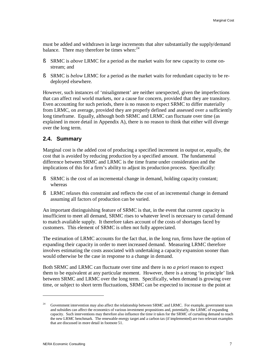must be added and withdrawn in large increments that alter substantially the supply/demand balance. There may therefore be times when: $24$ 

- § SRMC is *above* LRMC for a period as the market waits for new capacity to come onstream; and
- § SRMC is *below* LRMC for a period as the market waits for redundant capacity to be redeployed elsewhere.

However, such instances of 'misalignment' are neither unexpected, given the imperfections that can affect real world markets, nor a cause for concern, provided that they are transitory. Even accounting for such periods, there is no reason to expect SRMC to differ materially from LRMC, on average, provided they are properly defined and assessed over a sufficiently long timeframe. Equally, although both SRMC and LRMC can fluctuate over time (as explained in more detail in Appendix A), there is no reason to think that either will diverge over the long term.

### **2.4. Summary**

Marginal cost is the added cost of producing a specified increment in output or, equally, the cost that is avoided by reducing production by a specified amount. The fundamental difference between SRMC and LRMC is the time frame under consideration and the implications of this for a firm's ability to adjust its production process. Specifically:

- § SRMC is the cost of an incremental change in demand, holding capacity constant; whereas
- § LRMC relaxes this constraint and reflects the cost of an incremental change in demand assuming all factors of production can be varied.

An important distinguishing feature of SRMC is that, in the event that current capacity is insufficient to meet all demand, SRMC rises to whatever level is necessary to curtail demand to match available supply. It therefore takes account of the costs of shortages faced by customers. This element of SRMC is often not fully appreciated.

The estimation of LRMC accounts for the fact that, in the long run, firms have the option of expanding their capacity in order to meet increased demand. Measuring LRMC therefore involves estimating the costs associated with undertaking a capacity expansion sooner than would otherwise be the case in response to a change in demand.

Both SRMC and LRMC can fluctuate over time and there is no *a priori* reason to expect them to be equivalent at any particular moment. However, there is a strong 'in principle' link between SRMC and LRMC over the long term. Specifically, when demand is growing over time, or subject to short term fluctuations, SRMC can be expected to increase to the point at

<sup>24</sup> Government intervention may also affect the relationship between SRMC and LRMC. For example, government taxes and subsidies can affect the economics of various investment propositions and, potentially, the LRMC of expanding capacity. Such interventions may therefore also influence the time it takes for the SRMC of curtailing demand to reach the new LRMC benchmark. The renewable energy target and a carbon tax (if implemented) are two relevant examples that are discussed in more detail in footnote 51.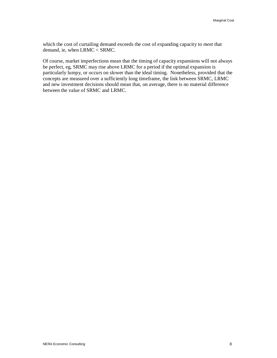which the cost of curtailing demand exceeds the cost of expanding capacity to *meet* that demand, ie, when LRMC < SRMC.

Of course, market imperfections mean that the timing of capacity expansions will not always be perfect, eg, SRMC may rise above LRMC for a period if the optimal expansion is particularly lumpy, or occurs on slower than the ideal timing. Nonetheless, provided that the concepts are measured over a sufficiently long timeframe, the link between SRMC, LRMC and new investment decisions should mean that, on average, there is no material difference between the value of SRMC and LRMC.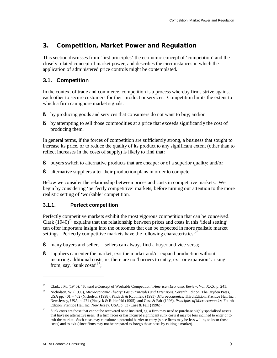# **3. Competition, Market Power and Regulation**

This section discusses from 'first principles' the economic concept of 'competition' and the closely related concept of market power, and describes the circumstances in which the application of administered price controls might be contemplated.

# **3.1. Competition**

In the context of trade and commerce, competition is a process whereby firms strive against each other to secure customers for their product or services. Competition limits the extent to which a firm can ignore market signals:

- § by producing goods and services that consumers do not want to buy; and/or
- § by attempting to sell those commodities at a price that exceeds significantly the cost of producing them.

In general terms, if the forces of competition are sufficiently strong, a business that sought to increase its price, or to reduce the quality of its product to any significant extent (other than to reflect increases in the costs of supply) is likely to find that:

- § buyers switch to alternative products that are cheaper or of a superior quality; and/or
- § alternative suppliers alter their production plans in order to compete.

Below we consider the relationship between prices and costs in competitive markets. We begin by considering 'perfectly competitive' markets, before turning our attention to the more realistic setting of 'workable' competition.

#### **3.1.1. Perfect competition**

Perfectly competitive markets exhibit the most vigorous competition that can be conceived. Clark  $(1940)^{25}$  explains that the relationship between prices and costs in this 'ideal setting' can offer important insight into the outcomes that can be expected in more realistic market settings. Perfectly competitive markets have the following characteristics:  $2<sup>6</sup>$ 

- § many buyers and sellers sellers can always find a buyer and vice versa;
- § suppliers can enter the market, exit the market and/or expand production without incurring additional costs, ie, there are no 'barriers to entry, exit or expansion' arising from, say, 'sunk costs'<sup>27</sup>;

<sup>25</sup> Clark, J.M. (1940), 'Toward a Concept of Workable Competition', *American Economic Review*, Vol. XXX, p. 241.

<sup>26</sup> Nicholson, W. (1998), *Microeconomic Theory: Basic Principles and Extensions*, Seventh Edition, The Dryden Press, USA pp. 401 – 402 (Nicholson (1998); Pindyck & Rubinfeld (1995), *Microeconomics*, Third Edition, Prentice Hall Inc., New Jersey, USA, p. 271 (Pindyck & Rubinfeld (1995); and Case & Fair (1996), *Principles of Microeconomics*, Fourth Edition, Prentice Hall Inc, New Jersey, USA, p. 53 (Case & Fair (1996)).

<sup>27</sup> Sunk costs are those that cannot be recovered once incurred, eg, a firm may need to purchase highly specialised assets that have no alternative uses. If a firm faces or has incurred significant sunk costs it may be less inclined to enter or to exit the market. Such costs may constitute a potential barrier to entry (since firms may be less willing to incur those costs) and to exit (since firms may not be prepared to forego those costs by exiting a market).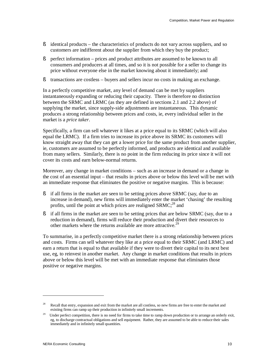- § identical products the characteristics of products do not vary across suppliers, and so customers are indifferent about the supplier from which they buy the product;
- § perfect information prices and product attributes are assumed to be known to all consumers and producers at all times, and so it is not possible for a seller to change its price without everyone else in the market knowing about it immediately; and
- § transactions are costless buyers and sellers incur no costs in making an exchange.

In a perfectly competitive market, any level of demand can be met by suppliers instantaneously expanding or reducing their capacity. There is therefore no distinction between the SRMC and LRMC (as they are defined in sections 2.1 and 2.2 above) of supplying the market, since supply-side adjustments are instantaneous. This dynamic produces a strong relationship between prices and costs, ie, every individual seller in the market is a *price taker*.

Specifically, a firm can sell whatever it likes at a price equal to its SRMC (which will also equal the LRMC). If a firm tries to increase its price above its SRMC its customers will know straight away that they can get a lower price for the same product from another supplier, ie, customers are assumed to be perfectly informed, and products are identical and available from many sellers. Similarly, there is no point in the firm reducing its price since it will not cover its costs and earn below-normal returns.

Moreover, any change in market conditions – such as an increase in demand or a change in the cost of an essential input – that results in prices above or below this level will be met with an immediate response that eliminates the positive or negative margins. This is because:

- § if all firms in the market are seen to be setting prices above SRMC (say, due to an increase in demand), new firms will immediately enter the market 'chasing' the resulting profits, until the point at which prices are realigned  $S RMC<sup>28</sup>$  and
- § if all firms in the market are seen to be setting prices that are below SRMC (say, due to a reduction in demand), firms will reduce their production and divert their resources to other markets where the returns available are more attractive.<sup>29</sup>

To summarise, in a perfectly competitive market there is a strong relationship between prices and costs. Firms can sell whatever they like at a price equal to their SRMC (and LRMC) and earn a return that is equal to that available if they were to divert their capital to its next best use, eg, to reinvest in another market. Any change in market conditions that results in prices above or below this level will be met with an immediate response that eliminates those positive or negative margins.

<sup>28</sup> Recall that entry, expansion and exit from the market are all costless, so new firms are free to enter the market and existing firms can ramp up their production in infinitely small increments.

<sup>&</sup>lt;sup>29</sup> Under perfect competition, there is no need for firms to take time to ramp down production or to arrange an orderly exit, eg, to discharge contractual obligations and sell equipment. Rather, they are assumed to be able to reduce their sales immediately and in infinitely small quantities.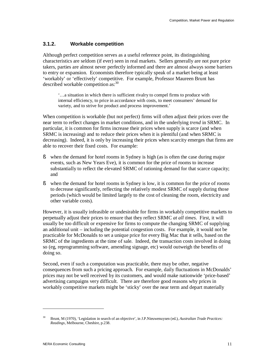#### **3.1.2. Workable competition**

Although perfect competition serves as a useful reference point, its distinguishing characteristics are seldom (if ever) seen in real markets. Sellers generally are not pure price takers, parties are almost never perfectly informed and there are almost always some barriers to entry or expansion. Economists therefore typically speak of a market being at least 'workably' or 'effectively' competitive. For example, Professor Maureen Brunt has described workable competition as:<sup>30</sup>

'…a situation in which there is sufficient rivalry to compel firms to produce with internal efficiency, to price in accordance with costs, to meet consumers' demand for variety, and to strive for product and process improvement.'

When competition is workable (but not perfect) firms will often adjust their prices over the near term to reflect changes in market conditions, and in the underlying *trend* in SRMC. In particular, it is common for firms increase their prices when supply is scarce (and when SRMC is increasing) and to reduce their prices when it is plentiful (and when SRMC is decreasing). Indeed, it is only by increasing their prices when scarcity emerges that firms are able to recover their fixed costs. For example:

- § when the demand for hotel rooms in Sydney is high (as is often the case during major events, such as New Years Eve), it is common for the price of rooms to increase substantially to reflect the elevated SRMC of rationing demand for that scarce capacity; and
- § when the demand for hotel rooms in Sydney is low, it is common for the price of rooms to decrease significantly, reflecting the relatively modest SRMC of supply during those periods (which would be limited largely to the cost of cleaning the room, electricity and other variable costs).

However, it is usually infeasible or undesirable for firms in workably competitive markets to perpetually adjust their prices to ensure that they reflect SRMC *at all times*. First, it will usually be too difficult or expensive for firms to compute the changing SRMC of supplying an additional unit – including the potential congestion costs. For example, it would not be practicable for McDonalds to set a unique price for every Big Mac that it sells, based on the SRMC of the ingredients at the time of sale. Indeed, the transaction costs involved in doing so (eg, reprogramming software, amending signage, etc) would outweigh the benefits of doing so.

Second, even if such a computation was practicable, there may be other, negative consequences from such a pricing approach. For example, daily fluctuations in McDonalds' prices may not be well received by its customers, and would make nationwide 'price-based' advertising campaigns very difficult. There are therefore good reasons why prices in workably competitive markets might be 'sticky' over the near term and depart materially

<sup>30</sup> Brunt, M (1970), 'Legislation in search of an objective', in J.P.Nieuwenuysen (ed.), *Australian Trade Practices: Readings,* Melbourne, Cheshire, p.238.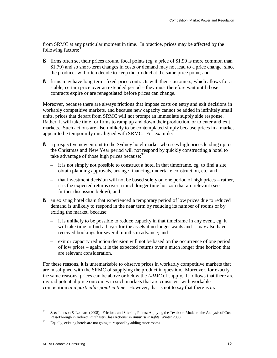from SRMC at any particular moment in time. In practice, prices may be affected by the following factors:<sup>31</sup>

- § firms often set their prices around focal points (eg, a price of \$1.99 is more common than \$1.79) and so short-term changes in costs or demand may not lead to a price change, since the producer will often decide to keep the product at the same price point; and
- § firms may have long-term, fixed-price contracts with their customers, which allows for a stable, certain price over an extended period – they must therefore wait until those contracts expire or are renegotiated before prices can change.

Moreover, because there are always frictions that impose costs on entry and exit decisions in workably competitive markets, and because new capacity cannot be added in infinitely small units, prices that depart from SRMC will not prompt an immediate supply side response. Rather, it will take time for firms to ramp up and down their production, or to enter and exit markets. Such actions are also unlikely to be contemplated simply because prices in a market appear to be temporarily misaligned with SRMC. For example:

- § a prospective new entrant to the Sydney hotel market who sees high prices leading up to the Christmas and New Year period will not respond by quickly constructing a hotel to take advantage of those high prices because: $32$ 
	- it is not simply not possible to construct a hotel in that timeframe, eg, to find a site, obtain planning approvals, arrange financing, undertake construction, etc; and
	- that investment decision will not be based solely on one period of high prices rather, it is the expected returns over a much longer time horizon that are relevant (see further discussion below); and
- § an existing hotel chain that experienced a temporary period of low prices due to reduced demand is unlikely to respond in the near term by reducing its number of rooms or by exiting the market, because:
	- it is unlikely to be possible to reduce capacity in that timeframe in any event, eg, it will take time to find a buyer for the assets it no longer wants and it may also have received bookings for several months in advance; and
	- exit or capacity reduction decision will not be based on the occurrence of one period of low prices – again, it is the expected returns over a much longer time horizon that are relevant consideration.

For these reasons, it is unremarkable to observe prices in workably competitive markets that are misaligned with the SRMC of supplying the product in question. Moreover, for exactly the same reasons, prices can be above or below the *LRMC* of supply. It follows that there are myriad potential price outcomes in such markets that are consistent with workable competition *at a particular point in time*. However, that is not to say that there is *no*

<sup>31</sup> *See:* Johnson & Leonard (2008), 'Frictions and Sticking Points: Applying the Textbook Model to the Analysis of Cost Pass-Through in Indirect Purchaser Class Actions' in *Antitrust Insights,* Winter 2008.

<sup>32</sup> Equally, existing hotels are not going to respond by adding more rooms.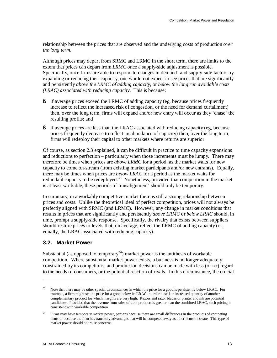relationship between the prices that are observed and the underlying costs of production *over the long term*.

Although prices may depart from SRMC and LRMC in the short term, there are limits to the extent that prices can depart from *LRMC* once a supply-side adjustment is possible. Specifically, once firms are able to respond to changes in demand- and supply-side factors by expanding or reducing their capacity, one would not expect to see prices that are significantly and persistently *above the LRMC of adding capacity*, or *below the long run avoidable costs (LRAC) associated with reducing capacity*. This is because:

- § if average prices exceed the LRMC of adding capacity (eg, because prices frequently increase to reflect the increased risk of congestion, or the need for demand curtailment) then, over the long term, firms will expand and/or new entry will occur as they 'chase' the resulting profits; and
- § if average prices are less than the LRAC associated with reducing capacity (eg, because prices frequently decrease to reflect an abundance of capacity) then, over the long term, firms will redeploy their capital to other markets where returns are superior.

Of course, as section 2.3 explained, it can be difficult in practice to time capacity expansions and reductions to perfection – particularly when those increments must be lumpy. There may therefore be times when prices are *above LRMC* for a period, as the market waits for new capacity to come on-stream (from existing market participants and/or new entrants). Equally, there may be times when prices are *below LRAC* for a period as the market waits for redundant capacity to be redeployed.<sup>33</sup> Nonetheless, provided that competition in the market is at least workable, these periods of 'misalignment' should only be temporary.

In summary, in a workably competitive market there is still a strong relationship between prices and costs. Unlike the theoretical ideal of perfect competition, prices will not always be perfectly aligned with SRMC (and LRMC). However, any change in market conditions that results in prices that are significantly and persistently *above LRMC* or *below LRAC* should, in time, prompt a supply-side response. Specifically, the rivalry that exists between suppliers should restore prices to levels that, on average, reflect the LRMC of adding capacity (or, equally, the LRAC associated with reducing capacity).

# **3.2. Market Power**

 $\overline{a}$ 

Substantial (as opposed to temporary<sup>34</sup>) market power is the antithesis of workable competition. Where substantial market power exists, a business is no longer adequately constrained by its competitors, and production decisions can be made with less (or no) regard to the needs of consumers, or the potential reaction of rivals. In this circumstance, the crucial

<sup>33</sup> Note that there may be other special circumstances in which the price for a good is persistently below LRAC. For example, a firm might set the price for a good below its LRAC in order to sell an increased quantity of another complementary product for which margins are very high. Razors and razor blades or printer and ink are potential candidates. Provided that the revenue from sales of *both* products is greater than the combined LRAC, such pricing is consistent with workable competition.

<sup>34</sup> Firms may have temporary market power, perhaps because there are small differences in the products of competing firms or because the firm has transitory advantages that will be competed away as other firms innovate. This type of market power should not raise concerns.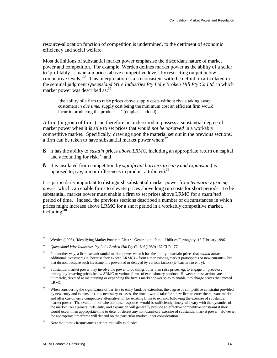resource-allocation function of competition is undermined, to the detriment of economic efficiency and social welfare.

Most definitions of substantial market power emphasise the discordant nature of market power and competition. For example, Werden defines market power as the ability of a seller to 'profitably ... maintain prices above competitive levels by restricting output below competitive levels.<sup>35</sup> This interpretation is also consistent with the definition articulated in the seminal judgment *Queensland Wire Industries Pty Ltd v Broken Hill Pty Co Ltd*, in which market power was described as: 36

'the ability of a firm to raise prices above supply costs without rivals taking away customers *in due time*, supply cost being the minimum cost an efficient firm would incur in producing the product …' (emphasis added)

A firm (or group of firms) can therefore be understood to possess a substantial degree of market power when it is able to set prices that would *not be observed* in a workably competitive market. Specifically, drawing upon the material set out in the previous sections, a firm can be taken to have substantial market power when: $37$ 

- § it has the ability to *sustain* prices *above LRMC*, including an appropriate return on capital and accounting for risk; $38$  and
- § it is insulated from competition by *significant barriers to entry and expansion* (as opposed to, say, minor differences in product attributes).<sup>39</sup>

It is particularly important to distinguish substantial market power from *temporary pricing power*, which can enable firms to elevate prices above long run costs for short periods. To be substantial, market power must enable a firm to set prices above LRMC for a *sustained* period of time. Indeed, the previous sections described a number of circumstances in which prices might increase above LRMC for a short period in a workably competitive market, including:<sup>40</sup>

<sup>35</sup> Werden (1996), 'Identifying Market Power in Electric Generation', Public Utilities Fortnightly, 15 February 1996.

<sup>36</sup> *Queensland Wire Industries Pty Ltd v Broken Hill Pty Co Ltd* (1989) 167 CLR 177.

<sup>37</sup> Put another way, a firm has substantial market power when it has the ability to sustain prices that *should* attract additional investment (ie, because they exceed LRMC) – from either existing market participants or new entrants – but that do not, because such investment is prevented or delayed by various factors (ie, barriers to entry).

<sup>38</sup> Substantial market power may involve the power to do things other than raise prices, eg, to engage in 'predatory pricing' by lowering prices below SRMC or various forms of exclusionary conduct. However, these actions are all, ultimately, directed at maintaining or expanding the firm's market power so as to enable it to charge prices that exceed LRMC.

<sup>39</sup> When considering the significance of barriers to entry (and, by extension, the degree of competitive constraint provided by new entry and expansion), it is necessary to assess the time it would take for a new firm to enter the relevant market and offer customers a competitive alternative, or for existing firms to expand, following the exercise of substantial market power. The evaluation of whether these responses would be sufficiently timely will vary with the dynamics of the market. As a general rule, entry and expansion will generally provide an effective competitive constraint if they would occur in an appropriate time to deter or defeat any non-transitory exercise of substantial market power. However, the appropriate timeframe will depend on the particular market under consideration.

<sup>40</sup> Note that these circumstances are not mutually exclusive.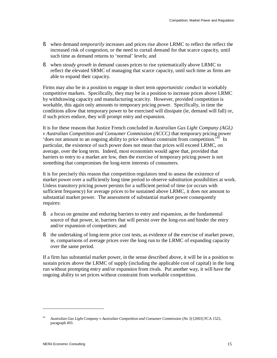- § when demand *temporarily* increases and prices rise above LRMC to reflect the reflect the increased risk of congestion, or the need to curtail demand for that scarce capacity, until such time as demand returns to 'normal' levels; and
- § when *steady growth* in demand causes prices to rise systematically above LRMC to reflect the elevated SRMC of managing that scarce capacity, until such time as firms are able to expand their capacity.

Firms may also be in a position to engage in short term *opportunistic conduct* in workably competitive markets. Specifically, they may be in a position to increase prices above LRMC by withdrawing capacity and manufacturing scarcity. However, provided competition is workable, this again only amounts to temporary pricing power. Specifically, in time the conditions allow that temporary power to be exercised will dissipate (ie, demand will fall) or, if such prices endure, they will prompt entry and expansion.

It is for these reasons that Justice French concluded in *Australian Gas Light Company (AGL) v Australian Competition and Consumer Commission (ACCC)* that temporary pricing power 'does not amount to an ongoing ability to price without constraint from competition.<sup>'41</sup> In particular, the existence of such power does not mean that prices will exceed LRMC, on average, over the long term. Indeed, most economists would agree that, provided that barriers to entry to a market are low, then the exercise of temporary pricing power is not something that compromises the long-term interests of consumers.

It is for precisely this reason that competition regulators tend to assess the existence of market power over a sufficiently long time period to observe substitution possibilities at work. Unless transitory pricing power persists for a sufficient period of time (or occurs with sufficient frequency) for average prices to be sustained above LRMC, it does not amount to substantial market power. The assessment of substantial market power consequently requires:

- § a focus on genuine and enduring barriers to entry and expansion, as the fundamental source of that power, ie, barriers that will persist over the long-run and hinder the entry and/or expansion of competitors; and
- § the undertaking of long-term price cost tests, as evidence of the exercise of market power, ie, comparisons of average prices over the long run to the LRMC of expanding capacity over the same period.

If a firm has substantial market power, in the sense described above, it will be in a position to sustain prices above the LRMC of supply (including the applicable cost of capital) in the long run without prompting entry and/or expansion from rivals. Put another way, it will have the ongoing ability to set prices without constraint from workable competition.

<sup>41</sup> *Australian Gas LightCompany v Australian Competition and Consumer Commission (No 3)* [2003] FCA 1525, paragraph 493.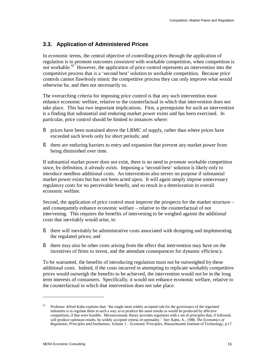# **3.3. Application of Administered Prices**

In economic terms, the central objective of controlling prices through the application of regulation is to promote outcomes *consistent* with workable competition, when competition is not workable.<sup>42</sup> However, the application of price control represents an intervention into the competitive process that is a 'second best' solution to workable competition. Because price controls cannot flawlessly mimic the competitive process they can only improve what would otherwise be, and then not necessarily so.

The overarching criteria for imposing price control is that any such intervention must enhance economic welfare, relative to the counterfactual in which that intervention does not take place. This has two important implications. First, a prerequisite for such an intervention is a finding that substantial and enduring market power exists and has been exercised. In particular, price control should be limited to instances where:

- § prices have been sustained above the LRMC of supply, rather than where prices have exceeded such levels only for short periods; and
- § there are enduring barriers to entry and expansion that prevent any market power from being diminished over time.

If substantial market power does not exist, there is no need to *promote* workable competition since, by definition, it *already exists*. Imposing a 'second-best' solution is likely only to introduce needless additional costs. An intervention also serves no purpose if substantial market power exists but has not been acted upon. It will again simply impose unnecessary regulatory costs for no perceivable benefit, and so result in a deterioration in overall economic welfare.

Second, the application of price control must improve the prospects for the market structure – and consequently enhance economic welfare – relative to the counterfactual of not intervening. This requires the benefits of intervening to be weighed against the additional costs that inevitably would arise, ie:

- § there will inevitably be administrative costs associated with designing and implementing the regulated prices; and
- § there may also be other costs arising from the effect that intervention may have on the incentives of firms to invest, and the attendant consequences for dynamic efficiency.

To be warranted, the benefits of introducing regulation must not be outweighed by these additional costs. Indeed, if the costs incurred in attempting to replicate workably competitive prices would outweigh the benefits to be achieved, the intervention would not be in the long term interests of consumers. Specifically, it would not enhance economic welfare, relative to the counterfactual in which that intervention does not take place.

<sup>42</sup> Professor Alfred Kahn explains that: 'the single most widely accepted rule for the governance of the regulated industries is to regulate them in such a way as to produce the same results as would be produced by effective competition, if that were feasible. Microeconomic theory provides regulators with a set of principles that, if followed, will produce optimum results, by widely accepted criteria of optimality.' See: Kahn, A., 1988, *The Economics of Regulation, Principles and Institutions, Volume 1 – Economic Principles*, Massachusetts Institute of Technology, p.17.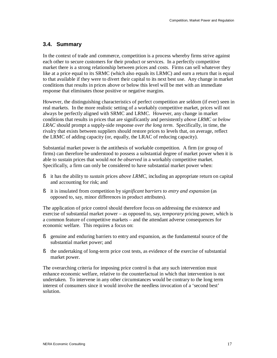# **3.4. Summary**

In the context of trade and commerce, competition is a process whereby firms strive against each other to secure customers for their product or services. In a perfectly competitive market there is a strong relationship between prices and costs. Firms can sell whatever they like at a price equal to its SRMC (which also equals its LRMC) and earn a return that is equal to that available if they were to divert their capital to its next best use. Any change in market conditions that results in prices above or below this level will be met with an immediate response that eliminates those positive or negative margins.

However, the distinguishing characteristics of perfect competition are seldom (if ever) seen in real markets. In the more realistic setting of a workably competitive market, prices will not always be perfectly aligned with SRMC and LRMC. However, any change in market conditions that results in prices that are significantly and persistently *above LRMC* or *below LRAC* should prompt a supply-side response *over the long term*. Specifically, in time, the rivalry that exists between suppliers should restore prices to levels that, on average, reflect the LRMC of adding capacity (or, equally, the LRAC of reducing capacity).

Substantial market power is the antithesis of workable competition. A firm (or group of firms) can therefore be understood to possess a substantial degree of market power when it is able to sustain prices that would *not be observed* in a workably competitive market. Specifically, a firm can only be considered to have substantial market power when:

- § it has the ability to *sustain* prices *above LRMC*, including an appropriate return on capital and accounting for risk; and
- § it is insulated from competition by *significant barriers to entry and expansion* (as opposed to, say, minor differences in product attributes).

The application of price control should therefore focus on addressing the existence and exercise of substantial market power – as opposed to, say, *temporary* pricing power, which is a common feature of competitive markets – and the attendant adverse consequences for economic welfare. This requires a focus on:

- § genuine and enduring barriers to entry and expansion, as the fundamental source of the substantial market power; and
- § the undertaking of long-term price cost tests, as evidence of the exercise of substantial market power.

The overarching criteria for imposing price control is that any such intervention must enhance economic welfare, relative to the counterfactual in which that intervention is not undertaken. To intervene in any other circumstances would be contrary to the long term interest of consumers since it would involve the needless invocation of a 'second best' solution.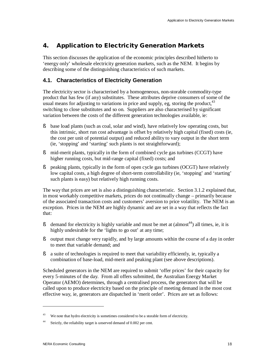# **4. Application to Electricity Generation Markets**

This section discusses the application of the economic principles described hitherto to 'energy only' wholesale electricity generation markets, such as the NEM. It begins by describing some of the distinguishing characteristics of such markets.

# **4.1. Characteristics of Electricity Generation**

The electricity sector is characterised by a homogeneous, non-storable commodity-type product that has few (if any) substitutes. These attributes deprive consumers of some of the usual means for adjusting to variations in price and supply, eg, storing the product,  $43$ switching to close substitutes and so on. Suppliers are also characterised by significant variation between the costs of the different generation technologies available, ie:

- § base load plants (such as coal, solar and wind), have relatively low operating costs, but this intrinsic, short run cost advantage is offset by relatively high capital (fixed) costs (ie, the cost per unit of potential output) and reduced ability to vary output in the short term (ie, 'stopping' and 'starting' such plants is not straightforward);
- § mid-merit plants, typically in the form of combined cycle gas turbines (CCGT) have higher running costs, but mid-range capital (fixed) costs; and
- § peaking plants, typically in the form of open cycle gas turbines (OCGT) have relatively low capital costs, a high degree of short-term controllability (ie, 'stopping' and 'starting' such plants is easy) but relatively high running costs.

The way that prices are set is also a distinguishing characteristic. Section 3.1.2 explained that, in most workably competitive markets, prices do not continually change – primarily because of the associated transaction costs and customers' aversion to price volatility. The NEM is an exception. Prices in the NEM are highly dynamic and are set in a way that reflects the fact that:

- § demand for electricity is highly variable and must be met at  $(\text{almost}^{44})$  all times, ie, it is highly undesirable for the 'lights to go out' at any time;
- § output must change very rapidly, and by large amounts within the course of a day in order to meet that variable demand; and
- § a suite of technologies is required to meet that variability efficiently, ie, typically a combination of base-load, mid-merit and peaking plant (see above descriptions).

Scheduled generators in the NEM are required to submit 'offer prices' for their capacity for every 5-minutes of the day. From all offers submitted, the Australian Energy Market Operator (AEMO) determines, through a centralised process, the generators that will be called upon to produce electricity based on the principle of meeting demand in the most cost effective way, ie, generators are dispatched in 'merit order'. Prices are set as follows:

<sup>43</sup> We note that hydro electricity is sometimes considered to be a storable form of electricity.

<sup>44</sup> Strictly, the reliability target is unserved demand of 0.002 per cent.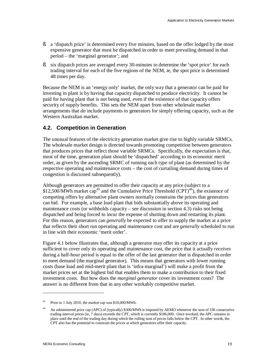- § a 'dispatch price' is determined every five minutes, based on the offer lodged by the most expensive generator that must be dispatched in order to meet prevailing demand in that period – the 'marginal generator'; and
- § six dispatch prices are averaged every 30-minutes to determine the 'spot price' for each trading interval for each of the five regions of the NEM, ie, the spot price is determined 48 times per day.

Because the NEM is an 'energy only' market, the only way that a generator can be paid for investing in plant is by having that capacity dispatched to produce electricity. It cannot be paid for having plant that is not being used, even if the existence of that capacity offers security of supply benefits. This sets the NEM apart from other wholesale market arrangements that *do* include payments to generators for simply offering capacity, such as the Western Australian market.

### **4.2. Competition in Generation**

The unusual features of the electricity generation market give rise to highly variable SRMCs. The wholesale market design is directed towards promoting competition between generators that produces prices that reflect those variable SRMCs. Specifically, the expectation is that, most of the time, generation plant should be 'dispatched' according to its economic merit order, as given by the ascending SRMC of running each type of plant (as determined by the respective operating and maintenance costs – the cost of curtailing demand during times of congestion is discussed subsequently).

Although generators are permitted to offer their capacity at any price (subject to a \$12,500/MWh market cap<sup>45</sup> and the Cumulative Price Threshold (CPT)<sup>46</sup>), the existence of competing offers by alternative plant owners normally constrains the prices that generators can bid. For example, a base load plant that bids substantially above its operating and maintenance costs (or withholds capacity – see discussion in section 4.3) risks not being dispatched and being forced to incur the expense of shutting down and restarting its plant. For this reason, generators can *generally* be expected to offer to supply the market at a price that reflects their short run operating and maintenance cost and are *generally* scheduled to run in line with their economic 'merit order'.

Figure 4.1 below illustrates that, although a generator may offer its capacity at a price sufficient to cover only its operating and maintenance cost, the price that it actually *receives* during a half-hour period is equal to the offer of the last generator that is dispatched in order to meet demand (the marginal generator). This means that generators with lower running costs (base load and mid-merit plant that is 'infra-marginal') will make a profit from the market prices set at the highest bid that enables them to make a contribution to their fixed investment costs. But how does the *marginal generator* cover its investment costs? The answer is no different from that in any other workably competitive market.

<sup>45</sup> Prior to 1 July 2010, the market cap was \$10,000/MWh.

<sup>46</sup> An administered price cap (APC) of (typically) \$300/MWh is imposed by AEMO whenever the sum of 336 consecutive trading interval prices (ie, 7 days) exceeds the CPT, which is currently \$186,000. Once invoked, the APC remains in place until the end of the trading day during which the rolling sum of prices falls below the CPT. In other words, the CPT also has the potential to constrain the prices at which generators offer their capacity.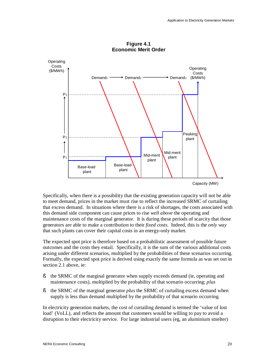

**Figure 4.1 Economic Merit Order** 

Specifically, when there is a possibility that the existing generation capacity will not be able to meet demand, prices in the market must rise to reflect the increased SRMC of curtailing that excess demand. In situations where there is a risk of shortages, the costs associated with this demand side component can cause prices to rise *well above* the operating and maintenance costs of the marginal generator. It is during these periods of scarcity that those generators are able to make a contribution to their *fixed costs*. Indeed, this is the *only way*  that such plants can cover their capital costs in an energy-only market.

The expected spot price is therefore based on a probabilistic assessment of possible future outcomes and the costs they entail. Specifically, it is the sum of the various additional costs arising under different scenarios, multiplied by the probabilities of these scenarios occurring. Formally, the expected spot price is derived using exactly the same formula as was set out in section 2.1 above, ie:

- § the SRMC of the marginal generator when supply exceeds demand (ie, operating and maintenance costs), multiplied by the probability of that scenario occurring; *plus*
- § the SRMC of the marginal generator *plus* the SRMC of curtailing excess demand when supply is less than demand multiplied by the probability of that scenario occurring.

In electricity generation markets, the cost of curtailing demand is termed the 'value of lost load' (VoLL), and reflects the amount that customers would be willing to pay to avoid a disruption to their electricity service. For large industrial users (eg, an aluminium smelter)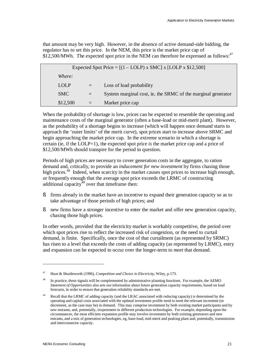that amount may be very high. However, in the absence of active demand-side bidding, the regulator has to set this price. In the NEM, this price is the market price cap of \$12,500/MWh. The expected spot price in the NEM can therefore be expressed as follows:<sup>47</sup>

| Expected Spot Price = $[(1 - \text{LOLP}) \times \text{SMC}] \times [\text{LOLP} \times \$12,500]$ |             |     |                                                              |  |
|----------------------------------------------------------------------------------------------------|-------------|-----|--------------------------------------------------------------|--|
|                                                                                                    | Where:      |     |                                                              |  |
|                                                                                                    | <b>LOLP</b> | $=$ | Loss of load probability                                     |  |
|                                                                                                    | <b>SMC</b>  | $=$ | System marginal cost, ie, the SRMC of the marginal generator |  |
|                                                                                                    | \$12,500    |     | Market price cap                                             |  |

When the probability of shortage is low, prices can be expected to resemble the operating and maintenance costs of the marginal generator (often a base-load or mid-merit plant). However, as the probability of a shortage begins to increase (which will happen once demand starts to approach the 'outer limits' of the merit curve), spot prices start to increase above SRMC and begin approaching the market price cap. In the extreme scenario in which a shortage is certain (ie, if the LOLP=1), the expected spot price *is* the market price cap and a price of \$12,500/MWh should transpire for the period in question.

Periods of high prices are necessary to cover generation costs in the aggregate, to ration demand and, critically, to provide an *inducement for new investment* by firms chasing those high prices.<sup>48</sup> Indeed, when scarcity in the market causes spot prices to increase high enough, or frequently enough that the average spot price exceeds the LRMC of constructing additional capacity $49$  over that timeframe then:

- § firms already in the market have an incentive to expand their generation capacity so as to take advantage of those periods of high prices; and
- § new firms have a stronger incentive to enter the market and offer new generation capacity, chasing those high prices.

In other words, provided that the electricity market is workably competitive, the period over which spot prices rise to reflect the increased risk of congestion, or the need to curtail demand, is finite. Specifically, once the cost of that curtailment (as represented by SRMC) has risen to a level that exceeds the costs of adding capacity (as represented by LRMC), entry and expansion can be expected to occur over the longer-term to *meet* that demand.

<sup>47</sup> Hunt & Shuttleworth (1996), *Competition and Choice in Electricity*, Wiley, p.173.

<sup>48</sup> In practice, these signals will be complemented by administrative planning functions. For example, the AEMO *Statement of Opportunities* also sets out information about future generation capacity requirements, based on load forecasts, in order to ensure that generation reliability standards are met.

<sup>49</sup> Recall that the LRMC of adding capacity (and the LRAC associated with reducing capacity) is determined by the operating and capital costs associated with the optimal investment profile need to meet the relevant increment (or decrement, as the case may be) in demand. This may comprise investment by both existing market participants and by new entrants, and, potentially, invpestment in different production technologies. For example, depending upon the circumstances, the most efficient expansion profile may involve investment by both existing generators and new entrants, and a mix of generation technologies, eg, base-load, mid-merit and peaking plant and, potentially, transmission and interconnector capacity.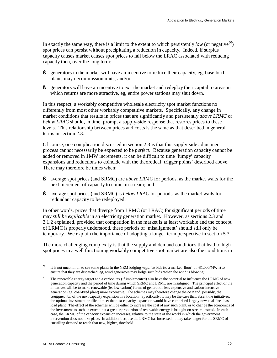In exactly the same way, there is a limit to the extent to which persistently *low* (or negative<sup>50</sup>) spot prices can persist without precipitating a reduction in capacity. Indeed, if surplus capacity causes market causes spot prices to fall below the LRAC associated with reducing capacity then, over the long term:

- § generators in the market will have an incentive to reduce their capacity, eg, base load plants may decommission units; and/or
- § generators will have an incentive to exit the market and redeploy their capital to areas in which returns are more attractive, eg, entire power stations may shut down.

In this respect, a workably competitive wholesale electricity spot market functions no differently from most other workably competitive markets. Specifically, any change in market conditions that results in prices that are significantly and persistently *above LRMC* or *below LRAC* should, in time, prompt a supply-side response that restores prices to these levels. This relationship between prices and costs is the same as that described in general terms in section 2.3.

Of course, one complication discussed in section 2.3 is that this supply-side adjustment process cannot necessarily be expected to be *perfect*. Because generation capacity cannot be added or removed in 1MW increments, it can be difficult to time 'lumpy' capacity expansions and reductions to coincide with the theoretical 'trigger points' described above. There may therefore be times when:<sup>51</sup>

- § average spot prices (and SRMC) are *above LRMC* for periods, as the market waits for the next increment of capacity to come on-stream; and
- § average spot prices (and SRMC) is *below LRAC* for periods, as the market waits for redundant capacity to be redeployed.

In other words, prices that diverge from LRMC (or LRAC) for significant periods of time may *still be explicable* in an electricity generation market*.* However, as sections 2.3 and 3.1.2 explained, provided that competition in the market is at least workable and the concept of LRMC is properly understood, these periods of 'misalignment' should still only be temporary. We explain the importance of adopting a longer-term perspective in section 5.3.

The more challenging complexity is that the supply and demand conditions that lead to high spot prices in a well functioning workably competitive spot market are also the conditions in

<sup>50</sup> It is not uncommon to see some plants in the NEM lodging *negative* bids (to a market 'floor' of -\$1,000/MWh) to ensure that they are dispatched, eg, wind generators may lodge such bids 'when the wind is blowing'.

<sup>51</sup> The renewable energy target and a carbon tax (if implemented) also have the potential to influence the LRMC of new generation capacity and the period of time during which SRMC and LRMC are misaligned. The principal effect of the initiatives will be to make renewable (ie, low carbon) forms of generation less expensive and carbon-intensive generation (eg, coal-fired plant) more expensive. The schemes may therefore change the *cost* and, possibly, the *configuration* of the next capacity expansion in a location. Specifically, it may be the case that, absent the initiatives, the optimal investment profile to meet the next capacity expansion would have comprised largely new coal-fired baseload plant. The effect of the schemes will be either to increase the cost of any such plant, or to change the economics of the investment to such an extent that a greater proportion of renewable energy is brought on-stream instead. In each case, the LRMC of the capacity expansion increases, relative to the state of the world in which the government intervention does not take place. In addition, because the LRMC has increased, it may take longer for the SRMC of curtailing demand to reach that new, higher, threshold.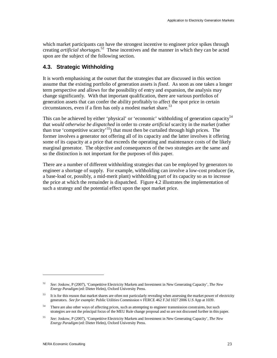which market participants can have the strongest incentive to engineer price spikes through creating *artificial shortages*. <sup>52</sup> These incentives and the manner in which they can be acted upon are the subject of the following section.

# **4.3. Strategic Withholding**

It is worth emphasising at the outset that the strategies that are discussed in this section assume that the existing portfolio of generation assets is *fixed*. As soon as one takes a longer term perspective and allows for the possibility of entry and expansion, the analysis may change significantly. With that important qualification, there are various portfolios of generation assets that can confer the ability profitably to affect the spot price in certain circumstances, even if a firm has only a modest market share. 53

This can be achieved by either 'physical' or 'economic' withholding of generation capacity<sup>54</sup> that *would otherwise be dispatched* in order to create *artificial* scarcity in the market (rather than true 'competitive scarcity'<sup>55</sup>) that must then be curtailed through high prices. The former involves a generator not offering all of its capacity and the latter involves it offering some of its capacity at a price that exceeds the operating and maintenance costs of the likely marginal generator. The objective and consequences of the two strategies are the same and so the distinction is not important for the purposes of this paper.

There are a number of different withholding strategies that can be employed by generators to engineer a shortage of supply. For example, withholding can involve a low-cost producer (ie, a base-load or, possibly, a mid-merit plant) withholding part of its capacity so as to increase the price at which the remainder is dispatched. Figure 4.2 illustrates the implementation of such a strategy and the potential effect upon the spot market price.

<sup>52</sup> *See:* Joskow, P (2007), 'Competitive Electricity Markets and Investment in New Generating Capacity', *The New Energy Paradigm* (ed: Dieter Helm), Oxford University Press.

<sup>53</sup> It is for this reason that market shares are often not particularly revealing when assessing the market power of electricity generators. *See for example:* Public Utilities Commission v FERCE 462 F.3d 1027 2006 U.S App at 1039.

<sup>54</sup> There are also other ways of affecting prices, such as attempting to engineer transmission constraints, but such strategies are not the principal focus of the MEU Rule change proposal and so are not discussed further in this paper.

<sup>55</sup> *See:* Joskow, P (2007), 'Competitive Electricity Markets and Investment in New Generating Capacity', *The New Energy Paradigm* (ed: Dieter Helm), Oxford University Press.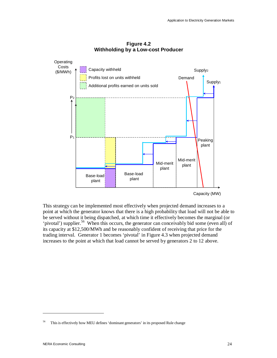

**Figure 4.2 Withholding by a Low-cost Producer** 

This strategy can be implemented most effectively when projected demand increases to a point at which the generator knows that there is a high probability that load will not be able to be served without it being dispatched, at which time it effectively becomes the marginal (or 'pivotal') supplier.<sup>56</sup> When this occurs, the generator can conceivably bid some (even all) of its capacity at \$12,500/MWh and be reasonably confident of receiving that price for the trading interval. Generator 1 becomes 'pivotal' in Figure 4.3 when projected demand

increases to the point at which that load cannot be served by generators 2 to 12 above.

<sup>56</sup> This is effectively how MEU defines 'dominant generators' in its proposed Rule change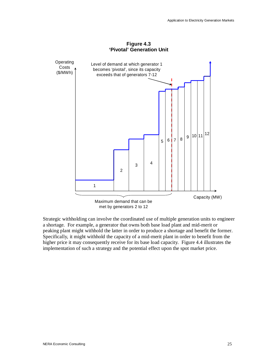

**Figure 4.3** 

Strategic withholding can involve the coordinated use of multiple generation units to engineer a shortage. For example, a generator that owns both base load plant and mid-merit or peaking plant might withhold the latter in order to produce a shortage and benefit the former. Specifically, it might withhold the capacity of a mid-merit plant in order to benefit from the higher price it may consequently receive for its base load capacity. Figure 4.4 illustrates the implementation of such a strategy and the potential effect upon the spot market price.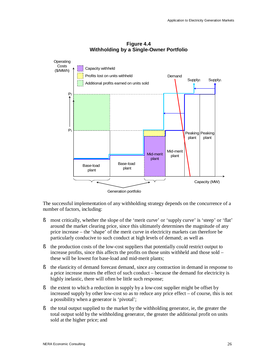

#### **Figure 4.4 Withholding by a Single-Owner Portfolio**

The successful implementation of any withholding strategy depends on the concurrence of a number of factors, including:

- § most critically, whether the slope of the 'merit curve' or 'supply curve' is 'steep' or 'flat' around the market clearing price, since this ultimately determines the magnitude of any price increase – the 'shape' of the merit curve in electricity markets can therefore be particularly conducive to such conduct at high levels of demand; as well as
- § the production costs of the low-cost suppliers that potentially could restrict output to increase profits, since this affects the profits on those units withheld and those sold – these will be lowest for base-load and mid-merit plants;
- § the elasticity of demand forecast demand, since any contraction in demand in response to a price increase mutes the effect of such conduct – because the demand for electricity is highly inelastic, there will often be little such response;
- § the extent to which a reduction in supply by a low-cost supplier might be offset by increased supply by other low-cost so as to reduce any price effect – of course, this is not a possibility when a generator is 'pivotal';
- § the total output supplied to the market by the withholding generator, ie, the greater the total output sold by the withholding generator, the greater the additional profit on units sold at the higher price; and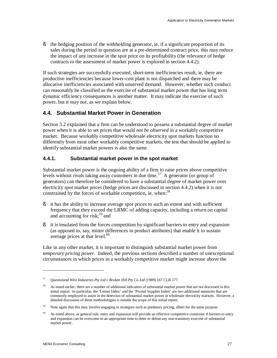§ the hedging position of the withholding generator, ie, if a significant proportion of its sales during the period in question are at a pre-determined contract price, this may reduce the impact of any increase in the spot price on its profitability (the relevance of hedge contracts to the assessment of market power is explored in section 4.4.2).

If such strategies are successfully executed, short-term inefficiencies result, ie, there are productive inefficiencies because lower-cost plant is not dispatched and there may be allocative inefficiencies associated with unserved demand. However, whether such conduct can reasonably be classified as the exercise of substantial market power that has long term dynamic efficiency consequences is another matter. It may indicate the exercise of such power, but it may not, as we explain below.

# **4.4. Substantial Market Power in Generation**

Section 3.2 explained that a firm can be understood to possess a substantial degree of market power when it is able to set prices that would *not be observed* in a workably competitive market. Because workably competitive wholesale electricity spot markets function no differently from most other workably competitive markets, the test that should be applied to identify substantial market powers is also the same.

### **4.4.1. Substantial market power in the spot market**

Substantial market power is the ongoing ability of a firm to raise prices above competitive levels without rivals taking away customers in due time.<sup>57</sup> A generator (or group of generators) can therefore be considered to have a substantial degree of market power over electricity spot market prices (hedge prices are discussed in section 4.4.2) when it is not constrained by the forces of workable competition, ie, when:<sup>58</sup>

- § it has the ability to increase average spot prices to such an extent and with sufficient frequency that they exceed the LRMC of adding capacity, including a return on capital and accounting for risk;<sup>59</sup> and
- § it is insulated from the forces competition by significant barriers to entry and expansion (as opposed to, say, minor differences in product attributes) that enable it to sustain average prices at that level.<sup>60</sup>

Like in any other market, it is important to distinguish substantial market power from *temporary pricing power*. Indeed, the previous sections described a number of unexceptional circumstances in which prices in a workably competitive market might increase above the

<sup>57</sup> *Queensland Wire Industries Pty Ltd v Broken Hill Pty Co Ltd* (1989) 167 CLR 177.

<sup>58</sup> As noted earlier, there are a number of additional indicators of substantial market power that are not discussed in this initial report. In particular, the 'Lerner Index' and the 'Pivotal Supplier Index' are two additional measures that are commonly employed to assist in the detection of substantial market power in wholesale electricity markets. However, a detailed discussion of these methodologies is outside the scope of this initial report.

<sup>59</sup> Note again that this may involve engaging in strategies such as predatory pricing, albeit for the same purpose.

<sup>60</sup> As noted above, as general rule, entry and expansion will provide an effective competitive constraint if barriers to entry and expansion can be overcome in an appropriate time to deter or defeat any non-transitory exercise of substantial market power.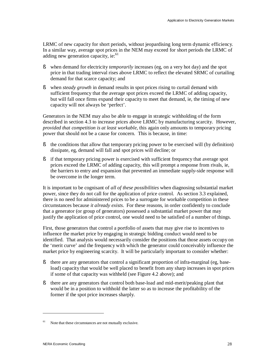LRMC of new capacity for short periods, without jeopardising long term dynamic efficiency. In a similar way, average spot prices in the NEM may exceed for short periods the LRMC of adding new generation capacity, ie:<sup>61</sup>

- § when demand for electricity *temporarily* increases (eg, on a very hot day) and the spot price in that trading interval rises above LRMC to reflect the elevated SRMC of curtailing demand for that scarce capacity; and
- § when *steady growth* in demand results in spot prices rising to curtail demand with sufficient frequency that the average spot prices exceed the LRMC of adding capacity, but will fall once firms expand their capacity to meet that demand, ie, the timing of new capacity will not always be 'perfect'.

Generators in the NEM may also be able to engage in strategic withholding of the form described in section 4.3 to increase prices above LRMC by manufacturing scarcity. However, *provided that competition is at least workable*, this again only amounts to temporary pricing power that should not be a cause for concern. This is because, in time:

- § the conditions that allow that temporary pricing power to be exercised will (by definition) dissipate, eg, demand will fall and spot prices will decline; or
- § if that temporary pricing power is exercised with sufficient frequency that average spot prices exceed the LRMC of adding capacity, this will prompt a response from rivals, ie, the barriers to entry and expansion that prevented an immediate supply-side response will be overcome in the longer term.

It is important to be cognisant of *all of these possibilities* when diagnosing substantial market power, since they do not call for the application of price control. As section 3.3 explained, there is no need for administered prices to be a surrogate for workable competition in these circumstances because *it already exists*. For these reasons, in order confidently to conclude that a generator (or group of generators) possessed a substantial market power that may justify the application of price control, one would need to be satisfied of a number of things.

First, those generators that control a portfolio of assets that may give rise to incentives to influence the market price by engaging in strategic bidding conduct would need to be identified. That analysis would necessarily consider the positions that those assets occupy on the 'merit curve' and the frequency with which the generator could conceivably influence the market price by engineering scarcity. It will be particularly important to consider whether:

- § there are any generators that control a significant proportion of infra-marginal (eg, baseload) capacity that would be well placed to benefit from any sharp increases in spot prices if some of that capacity was withheld (see Figure 4.2 above); and
- § there are any generators that control both base-load and mid-merit/peaking plant that would be in a position to withhold the latter so as to increase the profitability of the former if the spot price increases sharply.

<sup>61</sup> Note that these circumstances are not mutually exclusive.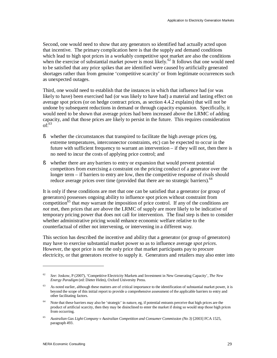Second, one would need to show that any generators so identified had actually acted upon that incentive. The primary complication here is that the supply and demand conditions which lead to high spot prices in a workably competitive spot market are also the conditions when the exercise of substantial market power is most likely.<sup>62</sup> It follows that one would need to be satisfied that any price spikes that are identified were caused by artificially generated shortages rather than from genuine 'competitive scarcity' or from legitimate occurrences such as unexpected outages.

Third, one would need to establish that the instances in which that influence had (or was likely to have) been exercised had (or was likely to have had) a material and lasting effect on average spot prices (or on hedge contract prices, as section 4.4.2 explains) that will not be undone by subsequent reductions in demand or through capacity expansion. Specifically, it would need to be shown that average prices had been increased above the LRMC of adding capacity, and that those prices are likely to persist in the future. This requires consideration  $\mathrm{of}^{\tilde{.}63}$ 

- § whether the circumstances that transpired to facilitate the high average prices (eg, extreme temperatures, interconnector constraints, etc) can be expected to occur in the future with sufficient frequency to warrant an intervention – if they will not, then there is no need to incur the costs of applying price control; and
- § whether there are any barriers to entry or expansion that would prevent potential competitors from exercising a constraint on the pricing conduct of a generator over the longer term – if barriers to entry are low, then the competitive response of rivals should reduce average prices over time (provided that there are no strategic barriers). $64$

It is only if these conditions are met that one can be satisfied that a generator (or group of generators) possesses ongoing ability to influence spot prices without constraint from competition<sup> $65$ </sup> that *may* warrant the imposition of price control. If any of the conditions are *not* met, then prices that are above the LRMC of supply are more likely to be indicative of temporary pricing power that does not call for intervention. The final step is then to consider whether administrative pricing would enhance economic welfare relative to the counterfactual of either not intervening, or intervening in a different way.

This section has described the incentive and ability that a generator (or group of generators) may have to exercise substantial market power so as to influence average *spot prices*. However, the spot price is not the only price that market participants pay to procure electricity, or that generators receive to supply it. Generators and retailers may also enter into

<sup>62</sup> *See:* Joskow, P (2007), 'Competitive Electricity Markets and Investment in New Generating Capacity', *The New Energy Paradigm* (ed: Dieter Helm), Oxford University Press.

<sup>63</sup> As noted earlier, although these matters are of critical importance to the identification of substantial market power, it is beyond the scope of this initial report to provide a comprehensive assessment of the applicable barriers to entry and other facilitating factors.

<sup>64</sup> Note that these barriers may also be 'strategic' in nature, eg, if potential entrants perceive that high prices are the product of artificial scarcity, then they may be disinclined to enter the market if doing so would stop those high prices from occurring.

<sup>65</sup> *Australian Gas LightCompany v Australian Competition and Consumer Commission (No 3)* [2003] FCA 1525, paragraph 493.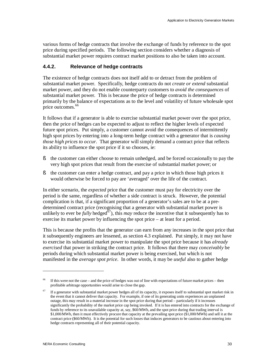various forms of hedge contracts that involve the exchange of funds by reference to the spot price during specified periods. The following section considers whether a diagnosis of substantial market power requires contract market positions to also be taken into account.

#### **4.4.2. Relevance of hedge contracts**

The existence of hedge contracts does not itself add to or detract from the problem of substantial market power. Specifically, hedge contracts do not *create or extend* substantial market power, and they do not enable counterparty customers to *avoid the consequences* of substantial market power. This is because the price of hedge contracts is determined primarily by the balance of expectations as to the level and volatility of future wholesale spot price outcomes.<sup>66</sup>

It follows that if a generator is able to exercise substantial market power over the spot price, then the price of hedges can be expected to adjust to reflect the higher levels of expected future spot prices. Put simply, a customer cannot avoid the consequences of intermittently high spot prices by entering into a long-term hedge contract with a generator that is *causing those high prices to occur*. That generator will simply demand a contract price that reflects its ability to influence the spot price if it so chooses, ie:

- § the customer can either choose to remain unhedged, and be forced occasionally to pay the very high spot prices that result from the exercise of substantial market power; or
- § the customer can enter a hedge contract, and pay a price in which those high prices it would otherwise be forced to pay are 'averaged' over the life of the contract.

In either scenario, the *expected* price that the customer must pay for electricity over the period is the same, regardless of whether a side contract is struck. However, the potential complication is that, if a significant proportion of a generator's sales are to be at a predetermined contract price (recognising that a generator with substantial market power is unlikely to ever be *fully* hedged<sup> $67$ </sup>), this *may* reduce the incentive that it subsequently has to exercise its market power by influencing the spot price – at least for a period.

This is because the profits that the generator can earn from any increases in the spot price that it subsequently engineers are lessened, as section 4.3 explained. Put simply, it may not have to exercise its substantial market power to manipulate the spot price because it has *already exercised* that power in striking the contract price. It follows that there may *conceivably* be periods during which substantial market power is being exercised, but which is not manifested in the *average spot price*. In other words, it may be *useful* also to gather hedge

<sup>66</sup> If this were not the case – and the price of hedges was out of line with expectations of future market prices – then profitable arbitrage opportunities would arise to close the gap.

<sup>67</sup> If a generator with substantial market power hedges all of its capacity, it exposes itself to substantial spot market risk in the event that it cannot deliver that capacity. For example, if one of its generating units experiences an unplanned outage, this may result in a material increase in the spot price during that period – particularly if it increases significantly the probability of the market price cap being invoked. If it is has entered into contracts for the exchange of funds by reference to its unavailable capacity at, say, \$60/MWh, and the spot price during that trading interval is \$1,000/MWh, then it must effectively procure that capacity at the prevailing spot price (\$1,000/MWh) and sell it at the contract price (\$60/MWh). It is the potential for such losses that induces generators to be cautious about entering into hedge contracts representing all of their potential capacity.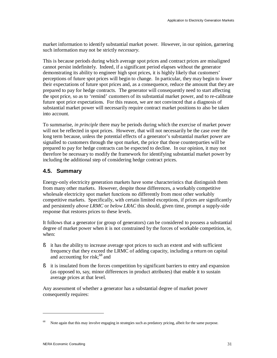market information to identify substantial market power. However, in our opinion, garnering such information may not be strictly *necessary*.

This is because periods during which average spot prices and contract prices are misaligned cannot persist indefinitely. Indeed, if a significant period elapses without the generator demonstrating its ability to engineer high spot prices, it is highly likely that customers' perceptions of future spot prices will begin to change. In particular, they may begin to *lower*  their expectations of future spot prices and, as a consequence, reduce the amount that they are prepared to pay for hedge contracts. The generator will consequently need to start affecting the spot price, so as to 'remind' customers of its substantial market power, and to re-calibrate future spot price expectations. For this reason, we are not convinced that a diagnosis of substantial market power will necessarily require contract market positions to also be taken into account.

To summarise, *in principle* there may be periods during which the exercise of market power will not be reflected in spot prices. However, that will not necessarily be the case over the long term because, unless the potential effects of a generator's substantial market power are signalled to customers through the spot market, the price that those counterparties will be prepared to pay for hedge contracts can be expected to decline. In our opinion, it may not therefore be necessary to modify the framework for identifying substantial market power by including the additional step of considering hedge contract prices.

# **4.5. Summary**

Energy-only electricity generation markets have some characteristics that distinguish them from many other markets. However, despite those differences, a workably competitive wholesale electricity spot market functions no differently from most other workably competitive markets. Specifically, with certain limited exceptions, if prices are significantly and persistently *above LRMC* or *below LRAC* this should, given time, prompt a supply-side response that restores prices to these levels.

It follows that a generator (or group of generators) can be considered to possess a substantial degree of market power when it is not constrained by the forces of workable competition, ie, when:

- § it has the ability to increase average spot prices to such an extent and with sufficient frequency that they exceed the LRMC of adding capacity, including a return on capital and accounting for risk;<sup>68</sup> and
- § it is insulated from the forces competition by significant barriers to entry and expansion (as opposed to, say, minor differences in product attributes) that enable it to sustain average prices at that level.

Any assessment of whether a generator has a substantial degree of market power consequently requires:

<sup>68</sup> Note again that this may involve engaging in strategies such as predatory pricing, albeit for the same purpose.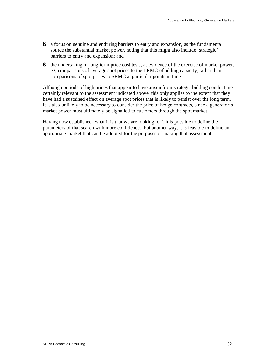- § a focus on genuine and enduring barriers to entry and expansion, as the fundamental source the substantial market power, noting that this might also include 'strategic' barriers to entry and expansion; and
- § the undertaking of long-term price cost tests, as evidence of the exercise of market power, eg, comparisons of average spot prices to the LRMC of adding capacity, rather than comparisons of spot prices to SRMC at particular points in time.

Although periods of high prices that appear to have arisen from strategic bidding conduct are certainly relevant to the assessment indicated above, this only applies to the extent that they have had a sustained effect on average spot prices that is likely to persist over the long term. It is also unlikely to be necessary to consider the price of hedge contracts, since a generator's market power must ultimately be signalled to customers through the spot market.

Having now established 'what it is that we are looking for', it is possible to define the parameters of that search with more confidence. Put another way, it is feasible to define an appropriate market that can be adopted for the purposes of making that assessment.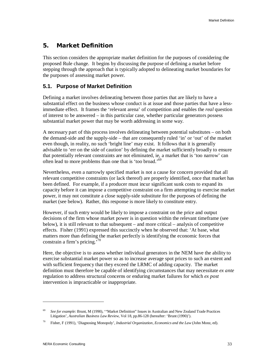# **5. Market Definition**

This section considers the appropriate market definition for the purposes of considering the proposed Rule change. It begins by discussing the purpose of defining a market before stepping through the approach that is typically adopted to delineating market boundaries for the purposes of assessing market power.

### **5.1. Purpose of Market Definition**

Defining a market involves delineating between those parties that are likely to have a substantial effect on the business whose conduct is at issue and those parties that have a lessimmediate effect. It frames the 'relevant arena' of competition and enables the *real* question of interest to be answered – in this particular case, whether particular generators possess substantial market power that may be worth addressing in some way.

A necessary part of this process involves delineating between potential substitutes – on both the demand-side and the supply-side – that are consequently ruled 'in' or 'out' of the market even though, in reality, no such 'bright line' may exist. It follows that it is generally advisable to 'err on the side of caution' by defining the market sufficiently broadly to ensure that potentially relevant constraints are not eliminated, ie, a market that is 'too narrow' can often lead to more problems than one that is 'too broad.'<sup>69</sup>

Nevertheless, even a narrowly specified market is not a cause for concern provided that all relevant competitive constraints (or lack thereof) are properly identified, once that market has been defined. For example, if a producer must incur significant sunk costs to expand its capacity before it can impose a competitive constraint on a firm attempting to exercise market power, it may not constitute a close supply-side substitute for the purposes of defining the market (see below). Rather, this response is more likely to constitute entry.

However, if such entry would be likely to impose a constraint on the price and output decisions of the firm whose market power is in question within the relevant timeframe (see below), it is still relevant to that subsequent – and more critical – analysis of competitive effects. Fisher (1991) expressed this succinctly when he observed that: 'At base, what matters more than defining the market perfectly is identifying the economic forces that constrain a firm's pricing.<sup>70</sup>

Here, the objective is to assess whether individual generators in the NEM have the ability to exercise substantial market power so as to increase average spot prices to such an extent and with sufficient frequency that they exceed the LRMC of adding capacity. The market definition must therefore be capable of identifying circumstances that may necessitate *ex ante*  regulation to address structural concerns or enduring market failures for which *ex post*  intervention is impracticable or inappropriate.

<sup>69</sup> *See for example:* Brunt, M (1990), '"Market Definition" Issues in Australian and New Zealand Trade Practices Litigation', *Australian Business Law Review,* Vol 18, pp.86-128 (hereafter: 'Brunt (1990)').

<sup>70</sup> Fisher, F (1991), 'Diagnosing Monopoly', *Industrial Organization, Economics and the Law* (John Monz, ed).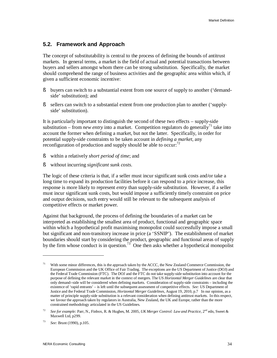#### **5.2. Framework and Approach**

The concept of substitutability is central to the process of defining the bounds of antitrust markets. In general terms, a market is the field of actual and potential transactions between buyers and sellers amongst whom there can be strong substitution. Specifically, the market should comprehend the range of business activities and the geographic area within which, if given a sufficient economic incentive:

- § buyers can switch to a substantial extent from one source of supply to another ('demandside' substitution); and
- § sellers can switch to a substantial extent from one production plan to another ('supplyside' substitution).

It is particularly important to distinguish the second of these two effects – supply-side substitution – from *new entry* into a market. Competition regulators do generally<sup>71</sup> take into account the former when defining a market, but not the latter. Specifically, in order for potential supply-side constraints to be taken account in *defining a market*, any reconfiguration of production and supply should be able to occur: $<sup>72</sup>$ </sup>

- § within a relatively *short period of time*; and
- § without incurring *significant sunk costs*.

The logic of these criteria is that, if a seller must incur significant sunk costs and/or take a long time to expand its production facilities before it can respond to a price increase, this response is more likely to represent *entry* than supply-side substitution. However, if a seller must incur significant sunk costs, but would impose a sufficiently timely constraint on price and output decisions, such entry would still be relevant to the subsequent analysis of competitive effects or market power.

Against that background, the process of defining the boundaries of a market can be interpreted as establishing the smallest area of product, functional and geographic space within which a hypothetical profit maximising monopolist could successfully impose a small but significant and non-transitory increase in price (a 'SSNIP'). The establishment of market boundaries should start by considering the product, geographic and functional areas of supply by the firm whose conduct is in question.<sup>73</sup> One then asks whether a hypothetical monopolist

<sup>71</sup> With some minor differences, this is the approach taken by the ACCC, the New Zealand Commerce Commission, the European Commission and the UK Office of Fair Trading. The exceptions are the US Department of Justice (DOJ) and the Federal Trade Commission (FTC). The DOJ and the FTC do not take supply-side substitution into account for the purpose of defining the relevant market in the context of mergers. The US *Horizontal Merger Guidelines* are clear that only demand--side will be considered when defining markets. Consideration of supply-side constraints – including the existence of 'rapid entrants' – is left until the subsequent assessment of competitive effects. *See:* US Department of Justice and the Federal Trade Commission, *Horizontal Merger Guidelines*, August 19, 2010, p.7 In our opinion, as a matter of principle supply-side substitution is a relevant consideration when defining antitrust markets. In this respect, we favour the approach taken by regulators in Australia, New Zealand, the UK and Europe, rather than the more constrained methodology articulated in the US Guidelines.

<sup>72</sup> See for example: Parr, N., Finbox, R. & Hughes, M. 2005, *UK Merger Control: Law and Practice*, 2<sup>nd</sup> edn, Sweet & Maxwell Ltd, p299.

<sup>73</sup> *See:* Brunt (1990), p.105.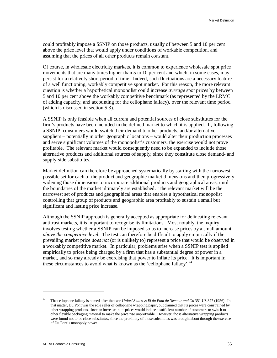could profitably impose a SSNIP on those products, usually of between 5 and 10 per cent above the price level that would apply under conditions of workable competition, and assuming that the prices of all other products remain constant.

Of course, in wholesale electricity markets, it is common to experience wholesale spot price movements that are many times higher than 5 to 10 per cent and which, in some cases, may persist for a relatively short period of time. Indeed, such fluctuations are a necessary feature of a well functioning, workably competitive spot market. For this reason, the more relevant question is whether a hypothetical monopolist could increase *average* spot prices by between 5 and 10 per cent above the workably competitive benchmark (as represented by the LRMC of adding capacity, and accounting for the cellophane fallacy), over the relevant time period (which is discussed in section 5.3).

A SSNIP is only feasible when all current and potential sources of close substitutes for the firm's products have been included in the defined market to which it is applied. If, following a SSNIP, consumers would switch their demand to other products, and/or alternative suppliers – potentially in other geographic locations – would alter their production processes and serve significant volumes of the monopolist's customers, the exercise would not prove profitable. The relevant market would consequently need to be expanded to include those alternative products and additional sources of supply, since they constitute close demand- and supply-side substitutes.

Market definition can therefore be approached systematically by starting with the narrowest possible set for each of the product and geographic market dimensions and then progressively widening those dimensions to incorporate additional products and geographical areas, until the boundaries of the market ultimately are established. The relevant market will be the narrowest set of products and geographical areas that enables a hypothetical monopolist controlling that group of products and geographic area profitably to sustain a small but significant and lasting price increase.

Although the SSNIP approach is generally accepted as appropriate for delineating relevant antitrust markets, it is important to recognise its limitations. Most notably, the inquiry involves testing whether a SSNIP can be imposed so as to increase prices by a small amount *above the competitive level*. The test can therefore be difficult to apply empirically if the prevailing market price *does not* (or is unlikely to) represent a price that would be observed in a workably competitive market. In particular, problems arise when a SSNIP test is applied empirically to prices being charged by a firm that has a substantial degree of power in a market, and so may already be exercising that power to inflate its price. It is important in these circumstances to avoid what is known as the 'cellophane fallacy'.<sup>74</sup>

<sup>74</sup> The cellophane fallacy is named after the case *United States vs El du Pont de Nemour and Co* 351 US 377 (1956). In that matter, Du Pont was the sole seller of cellophane wrapping paper, but claimed that its prices were constrained by other wrapping products, since an increase in its prices would induce a sufficient number of customers to switch to other flexible packaging material to make the price rise unprofitable. However, those alternative wrapping products were found not to be close substitutes, since the proximity of those substitutes was brought about through the exercise of Du Pont's monopoly power.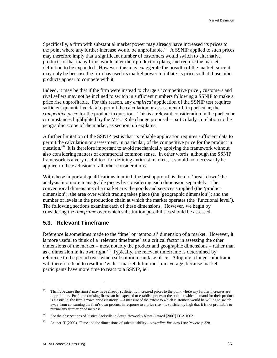Specifically, a firm with substantial market power may already have increased its prices to the point where any further increase would be unprofitable.<sup>75</sup> A SSNIP applied to such prices may therefore imply that a significant number of customers would switch to alternative products or that many firms would alter their production plans, and require the market definition to be expanded. However, this may exaggerate the breadth of the market, since it may only be because the firm has used its market power to inflate its price so that those other products appear to compete with it.

Indeed, it may be that if the firm were instead to charge a 'competitive price', customers and rival sellers may not be inclined to switch in sufficient numbers following a SSNIP to make a price rise unprofitable. For this reason, any *empirical* application of the SSNIP test requires sufficient quantitative data to permit the calculation or assessment of, in particular, the *competitive price* for the product in question. This is a relevant consideration in the particular circumstances highlighted by the MEU Rule change proposal – particularly in relation to the geographic scope of the market, as section 5.6 explains.

A further limitation of the SSNIP test is that its reliable application requires sufficient data to permit the calculation or assessment, in particular, of the competitive price for the product in question.<sup>76</sup> It is therefore important to avoid mechanically applying the framework without also considering matters of commercial common sense. In other words, although the SSNIP framework is a very useful tool for defining antitrust markets, it should not necessarily be applied to the exclusion of all other considerations.

With those important qualifications in mind, the best approach is then to 'break down' the analysis into more manageable pieces by considering each dimension separately. The conventional dimensions of a market are: the goods and services supplied (the 'product dimension'); the area over which trading takes place (the 'geographic dimension'); and the number of levels in the production chain at which the market operates (the 'functional level'). The following sections examine each of these dimensions. However, we begin by considering the *timeframe* over which substitution possibilities should be assessed.

#### **5.3. Relevant Timeframe**

Reference is sometimes made to the 'time' or 'temporal' dimension of a market. However, it is more useful to think of a 'relevant timeframe' as a critical factor in assessing the other dimensions of the market – most notably the product and geographic dimensions – rather than as a dimension in its own right.<sup>77</sup> Typically, the relevant timeframe is determined by reference to the period over which substitution can take place. Adopting a longer timeframe will therefore tend to result in 'wider' market definitions, on average, because market participants have more time to react to a SSNIP, ie:

<sup>75</sup> That is because the firm(s) may have already sufficiently increased prices to the point where any further increases are unprofitable. Profit maximising firms can be expected to establish prices at the point at which demand for their product is elastic, ie, the firm's "own price elasticity" – a measure of the extent to which customers would be willing to switch away from consuming the firm's own product in response to a price rise – is sufficiently high that it is not profitable to pursue any further price increase.

<sup>76</sup> See the observations of Justice Sackville in *Seven Network v News Limited* [2007] FCA 1062.

<sup>77</sup> Leuner, T (2008), 'Time and the dimensions of substitutability', *Australian Business Law Review*, p.328.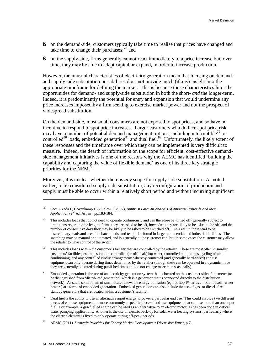- § on the demand-side, customers typically take time to realise that prices have changed and take time to change their purchases; $^{78}$  and
- § on the supply-side, firms generally cannot react immediately to a price increase but, over time, they may be able to adapt capital or expand, in order to increase production.

However, the unusual characteristics of electricity generation mean that focusing on demandand supply-side substitution possibilities does not provide much (if any) insight into the appropriate timeframe for defining the market. This is because those characteristics limit the opportunities for demand- and supply-side substitution in both the short- *and* the longer-term. Indeed, it is predominantly the potential for entry and expansion that would undermine any price increases imposed by a firm seeking to exercise market power and not the prospect of widespread substitution.

On the demand-side, most small consumers are not exposed to spot prices, and so have no incentive to respond to spot price increases. Larger customers who do face spot price risk may have a number of potential demand management options, including interruptible<sup>79</sup> or controlled<sup>80</sup> loads, embedded generation<sup>81</sup> and dual fuel.<sup>82</sup> Unfortunately, the likely extent of these responses and the timeframe over which they can be implemented is very difficult to measure. Indeed, the dearth of information on the scope for efficient, cost-effective demandside management initiatives is one of the reasons why the AEMC has identified 'building the capability and capturing the value of flexible demand' as one of its three key strategic priorities for the NEM. $^{\overline{8}3}$ 

Moreover, it is unclear whether there is *any* scope for supply-side substitution. As noted earlier, to be considered supply-side substitution, any reconfiguration of production and supply must be able to occur within a relatively short period and without incurring significant

<sup>78</sup> *See:* Areeda P, Hovenkamp H & Solow J (2002), *Antitrust Law: An Analysis of Antitrust Principle and their Application* (2<sup>nd</sup> ed, Aspen), pp.183-184.

<sup>79</sup> This includes loads that do not need to operate continuously and can therefore be turned off (generally subject to limitations regarding the length of time they are asked to be off, how often they are likely to be asked to be off, and the number of consecutive days they may be likely to be asked to be switched off). As a result, these tend to be discretionary loads and are often batch loads, and tend to be found in larger commercial and industrial facilities. The switching may be manual or automated, and is generally at the customer end, but in some cases the customer may allow the retailer to have control of the switch.

<sup>80</sup> This includes loads within the customer's facility that are controlled by the retailer. These are most often in smaller customers' facilities; examples include controlled (or off-peak) hot water, controlled pool pumps, cycling of airconditioning, and any controlled circuit arrangements whereby connected (and generally hard-wired) end use equipment can only operate during times determined by the retailer (though these can be operated in a dynamic mode they are generally operated during published times and do not change more than seasonally).

<sup>81</sup> Embedded generation is the use of an electricity generation system that is located on the customer side of the meter (to be distinguished from 'distributed generation' which is a generator that is connected directly to the distribution network). As such, some forms of small-scale renewable energy utilisation (eg, rooftop PV arrays – but not solar water heaters) are forms of embedded generation. Embedded generation can also include the use of gas- or diesel- fired standby generators that are located within a customer's facility.

<sup>82</sup> Dual fuel is the ability to use an alternative input energy to power a particular end use. This could involve two different pieces of end use equipment, or more commonly a specific piece of end-use equipment that can use more than one input fuel. For example, a gas-fuelled engine can be used as an alternative to an electric motor, as has been done in critical water pumping applications. Another is the use of electric back-up for solar water heating systems, particularly where the electric element is fixed to only operate during off-peak periods.

<sup>83</sup> AEMC (2011), *Strategic Priorities for Energy Market Development: Discussion Paper*, p.7.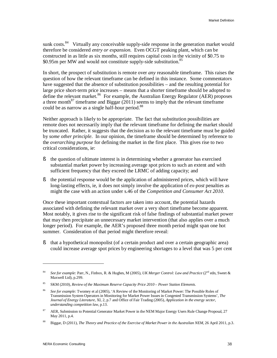sunk costs.<sup>84</sup> Virtually any conceivable supply-side response in the generation market would therefore be considered *entry or expansion*. Even OCGT peaking plant, which can be constructed in as little as six months, still requires capital costs in the vicinity of \$0.75 to \$0.95m per MW and would not constitute supply-side substitution.<sup>85</sup>

In short, the prospect of substitution is remote over *any* reasonable timeframe. This raises the question of how the relevant timeframe can be defined in this instance. Some commentators have suggested that the absence of substitution possibilities – and the resulting potential for large price short-term price increases – means that a shorter timeframe should be adopted to define the relevant market.<sup>86</sup> For example, the Australian Energy Regulator (AER) proposes a three month<sup>87</sup> timeframe and Biggar (2011) seems to imply that the relevant timeframe could be as narrow as a single half-hour period.<sup>88</sup>

Neither approach is likely to be appropriate. The fact that substitution possibilities are remote does not necessarily imply that the relevant timeframe for defining the market should be truncated. Rather, it suggests that the decision as to the relevant timeframe must be guided by *some other principle*. In our opinion, the timeframe should be determined by reference to the *overarching purpose* for defining the market in the first place. This gives rise to two critical considerations, ie:

- § the question of ultimate interest is in determining whether a generator has exercised substantial market power by increasing average spot prices to such an extent and with sufficient frequency that they exceed the LRMC of adding capacity; and
- § the potential response would be the application of administered prices, which will have long-lasting effects, ie, it does not simply involve the application of *ex-post* penalties as might the case with an action under s.46 of the *Competition and Consumer Act 2010*.

Once these important contextual factors are taken into account, the potential hazards associated with defining the relevant market over a very short timeframe become apparent. Most notably, it gives rise to the significant risk of false findings of substantial market power that may then precipitate an unnecessary market intervention (that also applies over a much longer period). For example, the AER's proposed three month period might span one hot summer. Consideration of that period might therefore reveal:

§ that a hypothetical monopolist (of a certain product and over a certain geographic area) could increase average spot prices by engineering shortages to a level that was 5 per cent

<sup>84</sup> *See for example:* Parr, N., Finbox, R. & Hughes, M (2005), *UK Merger Control: Law and Practice* (2nd edn, Sweet & Maxwell Ltd), p.299.

<sup>85</sup> SKM (2010), *Review of the Maximum Reserve Capacity Price 2010 – Power Station Elements.*

<sup>86</sup> *See for example:* Twomey et al (2005), 'A Review of the Monitoring of Market Power: The Possible Roles of Transmission System Operators in Monitoring for Market Power Issues in Congested Transmission Systems', *The Journal of Energy Literature,* XI, 2, p.7 and Office of Fair Trading (2005), *Application in the energy sector, understanding competition law*, p.13.

<sup>87</sup> AER, Submission to Potential Generator Market Power in the NEM Major Energy Users Rule Change Proposal, 27 May 2011, p.4.

<sup>88</sup> Biggar, D (2011), *The Theory and Practice of the Exercise of Market Power in the Australian NEM*, 26 April 2011, p.3.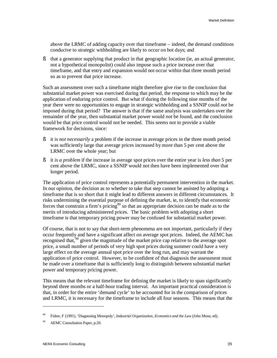above the LRMC of adding capacity over that timeframe – indeed, the demand conditions conducive to strategic withholding are likely to occur on hot days; and

§ that a generator supplying that product in that geographic location (ie, an actual generator, not a hypothetical monopolist) could also impose such a price increase over that timeframe, and that entry and expansion would not occur within that three month period so as to prevent that price increase.

Such an assessment over such a timeframe might therefore give rise to the conclusion that substantial market power was exercised during that period, the response to which may be the application of enduring price control. But what if during the following nine months of the year there were no opportunities to engage in strategic withholding and a SSNIP could *not* be imposed during that period? The answer is that if the same analysis was undertaken over the remainder of the year, then substantial market power would *not* be found, and the conclusion would be that price control would not be needed. This seems not to provide a viable framework for decisions, since:

- § it is *not necessarily* a problem if the increase in average prices in the three month period was sufficiently large that average prices increased by more than 5 per cent above the LRMC over the whole year; but
- § it *is a problem* if the increase in average spot prices over the entire year is *less than* 5 per cent above the LRMC, since a SSNIP would not then have been implemented over that longer period.

The application of price control represents a potentially permanent intervention in the market. In our opinion, the decision as to whether to take that step cannot be assisted by adopting a timeframe that is so short that it might lead to different answers in different circumstances. It risks undermining the essential purpose of defining the market, ie, to identify that economic forces that constrain a firm's pricing<sup>89</sup> so that an appropriate decision can be made as to the merits of introducing administered prices. The basic problem with adopting a short timeframe is that temporary pricing power may be confused for substantial market power.

Of course, that is not to say that short-term phenomena are not important, particularly if they occur frequently and have a significant affect on average spot prices. Indeed, the AEMC has recognised that,<sup>90</sup> given the magnitude of the market price cap relative to the average spot price, a small number of periods of very high spot prices during summer could have a very large effect on the average annual spot price over the long run, and may warrant the application of price control. However, to be confident of that diagnosis the assessment must be made over a timeframe that is sufficiently long to distinguish between substantial market power and temporary pricing power.

This means that the relevant timeframe for defining the market is likely to span significantly beyond three months or a half-hour trading interval. An important practical consideration is that, in order for the entire 'demand cycle' to be accounted for in the comparison of prices and LRMC, it is necessary for the timeframe to include all four seasons. This means that the

<sup>89</sup> Fisher, F (1991), 'Diagnosing Monopoly', *Industrial Organization, Economics and the Law* (John Monz, ed).

<sup>90</sup> AEMC Consultation Paper, p.20.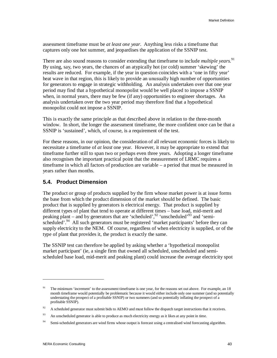assessment timeframe must be *at least one year*. Anything less risks a timeframe that captures only one hot summer, and jeopardises the application of the SSNIP test.

There are also sound reasons to consider extending that timeframe to include *multiple years*. 91 By using, say, two years, the chances of an atypically hot (or cold) summer 'skewing' the results are reduced. For example, if the year in question coincides with a 'one in fifty year' heat wave in that region, this is likely to provide an unusually high number of opportunities for generators to engage in strategic withholding. An analysis undertaken over that one year period may find that a hypothetical monopolist would be well placed to impose a SSNIP when, in normal years, there may be few (if any) opportunities to engineer shortages. An analysis undertaken over the two year period may therefore find that a hypothetical monopolist could not impose a SSNIP.

This is exactly the same principle as that described above in relation to the three-month window. In short, the longer the assessment timeframe, the more confident once can be that a SSNIP is 'sustained', which, of course, is a requirement of the test.

For these reasons, in our opinion, the consideration of all relevant economic forces is likely to necessitate a timeframe of *at least* one year. However, it may be appropriate to extend that timeframe further still to span two or perhaps even three years. Adopting a longer timeframe also recognises the important practical point that the measurement of LRMC requires a timeframe in which all factors of production are variable – a period that must be measured in years rather than months.

#### **5.4. Product Dimension**

The product or group of products supplied by the firm whose market power is at issue forms the base from which the product dimension of the market should be defined. The basic product that is supplied by generators is electrical energy. That product is supplied by different types of plant that tend to operate at different times – base load, mid-merit and peaking plant – and by generators that are 'scheduled', $92$ 'unscheduled' $93$ ' and 'semischeduled'.<sup>94</sup> All such generators must be registered 'market participants' before they can supply electricity to the NEM. Of course, regardless of when electricity is supplied, or of the type of plant that provides it, the product is exactly the same.

The SSNIP test can therefore be applied by asking whether a 'hypothetical monopolist market participant' (ie, a single firm that owned all scheduled, unscheduled and semischeduled base load, mid-merit and peaking plant) could increase the average electricity spot

<sup>91</sup> The minimum 'increment' to the assessment timeframe is one year, for the reasons set out above. For example, an 18 month timeframe would potentially be problematic because it would either include only one summer (and so potentially understating the prospect of a profitable SSNIP) or two summers (and so potentially inflating the prospect of a profitable SSNIP).

<sup>92</sup> A scheduled generator must submit bids to AEMO and must follow the dispatch target instructions that it receives.

<sup>93</sup> An unscheduled generator is able to produce as much electricity energy as it likes at any point in time.

<sup>94</sup> Semi-scheduled generators are wind firms whose output is forecast using a centralised wind forecasting algorithm.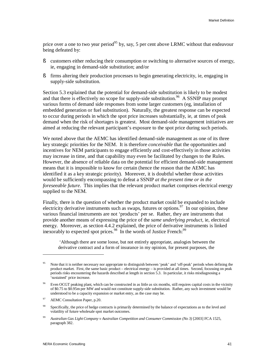price over a one to two year period<sup>95</sup> by, say, 5 per cent above LRMC without that endeavour being defeated by:

- § customers either reducing their consumption or switching to alternative sources of energy, ie, engaging in demand-side substitution; and/or
- § firms altering their production processes to begin generating electricity, ie, engaging in supply-side substitution.

Section 5.3 explained that the potential for demand-side substitution is likely to be modest and that there is effectively no scope for supply-side substitution.<sup>96</sup> A SSNIP may prompt various forms of demand side responses from some larger customers (eg, installation of embedded generation or fuel substitution). Naturally, the greatest response can be expected to occur during periods in which the spot price increases substantially, ie, at times of peak demand when the risk of shortages is greatest. Most demand-side management initiatives are aimed at reducing the relevant participant's exposure to the spot price during such periods.

We noted above that the AEMC has identified demand-side management as one of its three key strategic priorities for the NEM. It is therefore *conceivable* that the opportunities and incentives for NEM participants to engage efficiently and cost-effectively in those activities may increase in time, and that capability may even be facilitated by changes to the Rules. However, the absence of reliable data on the potential for efficient demand-side management means that it is impossible to know for certain (hence the reason that the AEMC has identified it as a key strategic priority). Moreover, it is doubtful whether those activities would be sufficiently encompassing to defeat a SSNIP *at the present time or in the foreseeable future*. This implies that the relevant product market comprises electrical energy supplied to the NEM.

Finally, there is the question of whether the product market could be expanded to include electricity derivative instruments such as swaps, futures or options.<sup>97</sup> In our opinion, these various financial instruments are not 'products' per se. Rather, they are instruments that provide another means of expressing the price of the *same underlying product*, ie, electrical energy. Moreover, as section 4.4.2 explained, the price of derivative instruments is linked inexorably to expected spot prices.<sup>98</sup> In the words of Justice French:<sup>99</sup>

'Although there are some loose, but not entirely appropriate, analogies between the derivative contract and a form of insurance in my opinion, for present purposes, the

<sup>95</sup> Note that it is neither necessary nor appropriate to distinguish between 'peak' and 'off-peak' periods when defining the product market. First, the same basic product – electrical energy – is provided at all times. Second, focussing on peak periods risks encountering the hazards described at length in section 5.3. In particular, it risks misdiagnosing a 'sustained' price increase.

<sup>96</sup> Even OCGT peaking plant, which can be constructed in as little as six months, still requires capital costs in the vicinity of \$0.75 to \$0.95m per MW and would not constitute supply-side substitution. Rather, any such investment would be understood to be a capacity expansion or market entry, as the case may be.

<sup>97</sup> AEMC Consultation Paper, p.20.

<sup>98</sup> Specifically, the price of hedge contracts is primarily determined by the balance of expectations as to the level and volatility of future wholesale spot market outcomes.

<sup>99</sup> *Australian Gas LightCompany v Australian Competition and Consumer Commission (No 3)* [2003] FCA 1525, paragraph 382.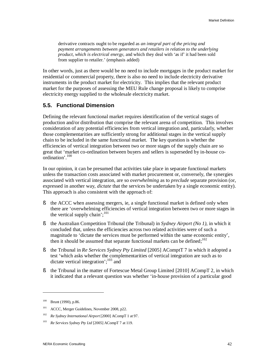derivative contracts ought to be regarded as *an integral part of the pricing and payment arrangements between generators and retailers in relation to the underlying product, which is electrical energy*, and which they deal with 'as if' it had been sold from supplier to retailer.' (emphasis added)

In other words, just as there would be no need to include mortgages in the product market for residential or commercial property, there is also no need to include electricity derivative instruments in the product market for electricity. This implies that the relevant product market for the purposes of assessing the MEU Rule change proposal is likely to comprise electricity energy supplied to the wholesale electricity market.

#### **5.5. Functional Dimension**

Defining the relevant functional market requires identification of the vertical stages of production and/or distribution that comprise the relevant arena of competition. This involves consideration of any potential efficiencies from vertical integration and, particularly, whether those complementarities are sufficiently strong for additional stages in the vertical supply chain to be included in the same functional market. The key question is whether the efficiencies of vertical integration between two or more stages of the supply chain are so great that 'market co-ordination between buyers and sellers is superseded by in-house coordination'.<sup>100</sup>

In our opinion, it can be presumed that activities take place in separate functional markets unless the transaction costs associated with market procurement or, conversely, the synergies associated with vertical integration, are so *overwhelming* as to *preclude* separate provision (or, expressed in another way, *dictate* that the services be undertaken by a single economic entity). This approach is also consistent with the approach of:

- § the ACCC when assessing mergers, ie, a single functional market is defined only when there are 'overwhelming efficiencies of vertical integration between two or more stages in the vertical supply chain';<sup>101</sup>
- § the Australian Competition Tribunal (the Tribunal) in *Sydney Airport (No 1)*, in which it concluded that, unless the efficiencies across two related activities were of such a magnitude to 'dictate the services must be performed within the same economic entity', then it should be assumed that separate functional markets can be defined; $102$
- § the Tribunal in *Re Services Sydney Pty Limited* [2005] AComptT 7 in which it adopted a test 'which asks whether the complementarities of vertical integration are such as to dictate vertical integration';<sup>103</sup> and
- § the Tribunal in the matter of Fortescue Metal Group Limited [2010] ACompT 2, in which it indicated that a relevant question was whether 'in-house provision of a particular good

<sup>100</sup> Brunt (1990), p.86.

<sup>101</sup> ACCC, Merger Guidelines, November 2008, p22.

<sup>102</sup> *Re Sydney International Airport* [2000] ACompT 1 at 97.

<sup>103</sup> *Re Services Sydney Pty Ltd* [2005] ACompT 7 at 119.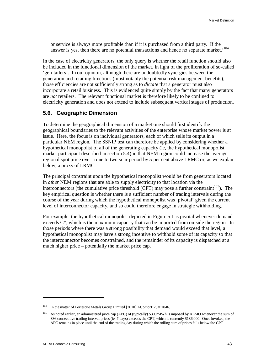or service is always more profitable than if it is purchased from a third party. If the answer is yes, then there are no potential transactions and hence no separate market.'<sup>104</sup>

In the case of electricity generators, the only query is whether the retail function should also be included in the functional dimension of the market, in light of the proliferation of so-called 'gen-tailers'. In our opinion, although there are undoubtedly synergies between the generation and retailing functions (most notably the potential risk management benefits), those efficiencies are not sufficiently strong as to *dictate* that a generator must also incorporate a retail business. This is evidenced quite simply by the fact that many generators are *not* retailers. The relevant functional market is therefore likely to be confined to electricity generation and does not extend to include subsequent vertical stages of production.

### **5.6. Geographic Dimension**

To determine the geographical dimension of a market one should first identify the geographical boundaries to the relevant activities of the enterprise whose market power is at issue. Here, the focus is on individual generators, each of which sells its output in a particular NEM region. The SSNIP test can therefore be applied by considering whether a hypothetical monopolist of all of the generating capacity (ie, the hypothetical monopolist market participant described in section 5.4) in that NEM region could increase the average regional spot price over a one to two year period by 5 per cent above LRMC or, as we explain below, a proxy of LRMC.

The principal constraint upon the hypothetical monopolist would be from generators located in *other* NEM regions that are able to supply electricity to that location via the interconnectors (the cumulative price threshold (CPT) may pose a further constraint $105$ ). The key empirical question is whether there is a sufficient number of trading intervals during the course of the year during which the hypothetical monopolist was 'pivotal' given the current level of interconnector capacity, and so could therefore engage in strategic withholding.

For example, the hypothetical monopolist depicted in Figure 5.1 is pivotal whenever demand exceeds C\*, which is the maximum capacity that can be imported from outside the region. In those periods where there was a strong possibility that demand would exceed that level, a hypothetical monopolist may have a strong incentive to withhold some of its capacity so that the interconnector becomes constrained, and the remainder of its capacity is dispatched at a much higher price – potentially the market price cap.

<sup>&</sup>lt;sup>104</sup> In the matter of Fortescue Metals Group Limited [2010] AComptT 2, at 1046.

<sup>&</sup>lt;sup>105</sup> As noted earlier, an administered price cap (APC) of (typically) \$300/MWh is imposed by AEMO whenever the sum of 336 consecutive trading interval prices (ie, 7 days) exceeds the CPT, which is currently \$186,000. Once invoked, the APC remains in place until the end of the trading day during which the rolling sum of prices falls below the CPT.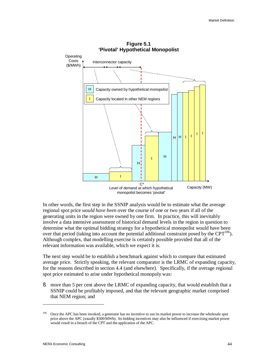

In other words, the first step in the SSNIP analysis would be to estimate what the average regional spot price *would have been* over the course of one or two years if all of the generating units in the region were owned by one firm. In practice, this will inevitably involve a data intensive assessment of historical demand levels in the region in question to determine what the optimal bidding strategy for a hypothetical monopolist would have been over that period (taking into account the potential additional constraint posed by the  $CPT^{106}$ ). Although complex, that modelling exercise is certainly possible provided that all of the relevant information was available, which we expect it is.

The next step would be to establish a benchmark against which to compare that estimated average price. Strictly speaking, the relevant comparator is the LRMC of expanding capacity, for the reasons described in section 4.4 (and elsewhere). Specifically, if the average regional spot price estimated to arise under hypothetical monopoly was:

§ more than 5 per cent above the LRMC of expanding capacity, that would establish that a SSNIP could be profitably imposed, and that the relevant geographic market comprised that NEM region; and

<sup>&</sup>lt;sup>106</sup> Once the APC has been invoked, a generator has no incentive to use its market power to increase the wholesale spot price above the APC (usually \$300/MWh). Its bidding incentives may also be influenced if exercising market power would *result* in a breach of the CPT and the application of the APC.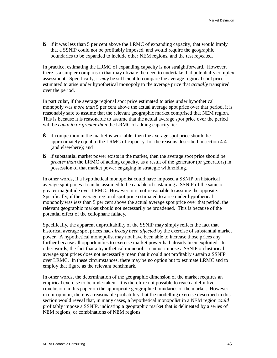§ if it was less than 5 per cent above the LRMC of expanding capacity, that would imply that a SSNIP could not be profitably imposed, and would require the geographic boundaries to be expanded to include other NEM regions, and the test repeated.

In practice, estimating the LRMC of expanding capacity is not straightforward. However, there is a simpler comparison that may obviate the need to undertake that potentially complex assessment. Specifically, it *may* be sufficient to compare the average regional spot price estimated to arise under hypothetical monopoly to the average price that *actually* transpired over the period.

In particular, if the average regional spot price estimated to arise under hypothetical monopoly was *more than* 5 per cent above the actual average spot price over that period, it is reasonably safe to assume that the relevant geographic market comprised that NEM region. This is because it is reasonable to assume that the actual average spot price over the period will be *equal to or greater than* the LRMC of adding capacity, ie:

- § if competition in the market is workable, then the average spot price should be approximately equal to the LRMC of capacity, for the reasons described in section 4.4 (and elsewhere); and
- § if substantial market power exists in the market, then the average spot price should be *greater than* the LRMC of adding capacity, as a result of the generator (or generators) in possession of that market power engaging in strategic withholding.

In other words, if a hypothetical monopolist could have imposed a SSNIP on historical average spot prices it can be assumed to be capable of sustaining a SSNIP of the same or greater magnitude over LRMC. However, it is not reasonable to assume the opposite. Specifically, if the average regional spot price estimated to arise under hypothetical monopoly was *less* than 5 per cent above the actual average spot price over that period, the relevant geographic market should not necessarily be broadened. This is because of the potential effect of the cellophane fallacy.

Specifically, the apparent unprofitability of the SSNIP may simply reflect the fact that historical average spot prices had *already been affected* by the exercise of substantial market power. A hypothetical monopolist may not have been able to increase those prices any further because all opportunities to exercise market power had already been exploited. In other words, the fact that a hypothetical monopolist cannot impose a SSNIP on historical average spot prices does not necessarily mean that it could not profitably sustain a SSNIP over LRMC. In these circumstances, there may be no option but to estimate LRMC and to employ that figure as the relevant benchmark.

In other words, the determination of the geographic dimension of the market requires an empirical exercise to be undertaken. It is therefore not possible to reach a definitive conclusion in this paper on the appropriate geographic boundaries of the market. However, in our opinion, there is a reasonable probability that the modelling exercise described in this section would reveal that, in many cases, a hypothetical monopolist in a NEM region *could*  profitably impose a SSNIP, indicating a geographic market that is delineated by a series of NEM regions, or combinations of NEM regions.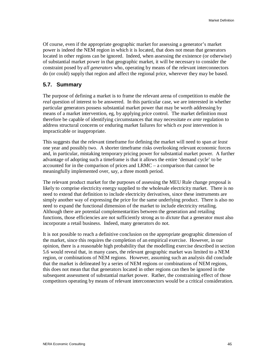Of course, even if the appropriate geographic market for assessing a generator's market power is indeed the NEM region in which it is located, that does not mean that generators located in other regions can be ignored. Indeed, when assessing the existence (or otherwise) of substantial market power in that geographic market, it will be necessary to consider the constraint posed by *all generators* who, operating by means of the relevant interconnectors do (or could) supply that region and affect the regional price, wherever they may be based.

### **5.7. Summary**

The purpose of defining a market is to frame the relevant arena of competition to enable the *real* question of interest to be answered. In this particular case, we are interested in whether particular generators possess substantial market power that may be worth addressing by means of a market intervention, eg, by applying price control. The market definition must therefore be capable of identifying circumstances that may necessitate *ex ante* regulation to address structural concerns or enduring market failures for which *ex post* intervention is impracticable or inappropriate.

This suggests that the relevant timeframe for defining the market will need to span *at least* one year and possibly two. A shorter timeframe risks overlooking relevant economic forces and, in particular, mistaking temporary pricing power for substantial market power. A further advantage of adopting such a timeframe is that it allows the entire 'demand cycle' to be accounted for in the comparison of prices and LRMC – a comparison that cannot be meaningfully implemented over, say, a three month period.

The relevant product market for the purposes of assessing the MEU Rule change proposal is likely to comprise electricity energy supplied to the wholesale electricity market. There is no need to extend that definition to include electricity derivatives, since these instruments are simply another way of expressing the price for the same underlying product. There is also no need to expand the functional dimension of the market to include electricity retailing. Although there are potential complementarities between the generation and retailing functions, those efficiencies are not sufficiently strong as to *dictate* that a generator must also incorporate a retail business. Indeed, many generators do not.

It is not possible to reach a definitive conclusion on the appropriate geographic dimension of the market, since this requires the completion of an empirical exercise. However, in our opinion, there is a reasonable high probability that the modelling exercise described in section 5.6 would reveal that, in many cases, the relevant geographic market was limited to a NEM region, or combinations of NEM regions. However, assuming such an analysis did conclude that the market is delineated by a series of NEM regions or combinations of NEM regions, this does not mean that that generators located in other regions can then be ignored in the subsequent assessment of substantial market power. Rather, the constraining effect of those competitors operating by means of relevant interconnectors would be a critical consideration.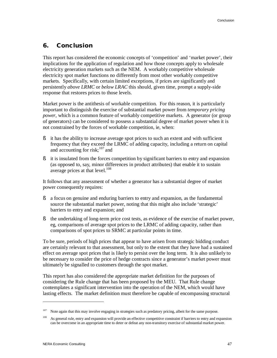### **6. Conclusion**

This report has considered the economic concepts of 'competition' and 'market power', their implications for the application of regulation and how those concepts apply to wholesale electricity generation markets such as the NEM. A workably competitive wholesale electricity spot market functions no differently from most other workably competitive markets. Specifically, with certain limited exceptions, if prices are significantly and persistently *above LRMC* or *below LRAC* this should, given time, prompt a supply-side response that restores prices to those levels.

Market power is the antithesis of workable competition. For this reason, it is particularly important to distinguish the exercise of substantial market power from *temporary pricing power*, which is a common feature of workably competitive markets. A generator (or group of generators) can be considered to possess a substantial degree of market power when it is not constrained by the forces of workable competition, ie, when:

- § it has the ability to increase average spot prices to such an extent and with sufficient frequency that they exceed the LRMC of adding capacity, including a return on capital and accounting for risk; $^{107}$  and
- § it is insulated from the forces competition by significant barriers to entry and expansion (as opposed to, say, minor differences in product attributes) that enable it to sustain average prices at that level.<sup>108</sup>

It follows that any assessment of whether a generator has a substantial degree of market power consequently requires:

- § a focus on genuine and enduring barriers to entry and expansion, as the fundamental source the substantial market power, noting that this might also include 'strategic' barriers to entry and expansion; and
- § the undertaking of long-term price cost tests, as evidence of the exercise of market power, eg, comparisons of average spot prices to the LRMC of adding capacity, rather than comparisons of spot prices to SRMC at particular points in time.

To be sure, periods of high prices that appear to have arisen from strategic bidding conduct are certainly relevant to that assessment, but only to the extent that they have had a sustained effect on average spot prices that is likely to persist over the long term. It is also unlikely to be necessary to consider the price of hedge contracts since a generator's market power must ultimately be signalled to customers through the spot market.

This report has also considered the appropriate market definition for the purposes of considering the Rule change that has been proposed by the MEU. That Rule change contemplates a significant intervention into the operation of the NEM, which would have lasting effects. The market definition must therefore be capable of encompassing structural

l

<sup>&</sup>lt;sup>107</sup> Note again that this may involve engaging in strategies such as predatory pricing, albeit for the same purpose.

<sup>&</sup>lt;sup>108</sup> As general rule, entry and expansion will provide an effective competitive constraint if barriers to entry and expansion can be overcome in an appropriate time to deter or defeat any non-transitory exercise of substantial market power.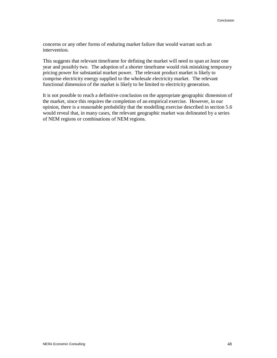concerns or any other forms of enduring market failure that would warrant such an intervention.

This suggests that relevant timeframe for defining the market will need to span *at least* one year and possibly two. The adoption of a shorter timeframe would risk mistaking temporary pricing power for substantial market power. The relevant product market is likely to comprise electricity energy supplied to the wholesale electricity market. The relevant functional dimension of the market is likely to be limited to electricity generation.

It is not possible to reach a definitive conclusion on the appropriate geographic dimension of the market, since this requires the completion of an empirical exercise. However, in our opinion, there is a reasonable probability that the modelling exercise described in section 5.6 would reveal that, in many cases, the relevant geographic market was delineated by a series of NEM regions or combinations of NEM regions.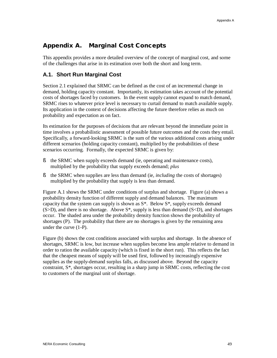# **Appendix A. Marginal Cost Concepts**

This appendix provides a more detailed overview of the concept of marginal cost, and some of the challenges that arise in its estimation over both the short and long term.

# **A.1. Short Run Marginal Cost**

Section 2.1 explained that SRMC can be defined as the cost of an incremental change in demand, holding capacity constant. Importantly, its estimation takes account of the potential costs of shortages faced by customers. In the event supply cannot expand to match demand, SRMC rises to whatever price level is necessary to curtail demand to match available supply. Its application in the context of decisions affecting the future therefore relies as much on probability and expectation as on fact.

Its estimation for the purposes of decisions that are relevant beyond the immediate point in time involves a probabilistic assessment of possible future outcomes and the costs they entail. Specifically, a forward-looking SRMC is the sum of the various additional costs arising under different scenarios (holding capacity constant), multiplied by the probabilities of these scenarios occurring. Formally, the expected SRMC is given by:

- § the SRMC when supply exceeds demand (ie, operating and maintenance costs), multiplied by the probability that supply exceeds demand; *plus*
- § the SRMC when supplies are less than demand (ie, *including* the costs of shortages) multiplied by the probability that supply is less than demand.

Figure A.1 shows the SRMC under conditions of surplus and shortage. Figure (a) shows a probability density function of different supply and demand balances. The maximum capacity that the system can supply is shown as  $S^*$ . Below  $S^*$ , supply exceeds demand  $(S>D)$ , and there is no shortage. Above  $S^*$ , supply is less than demand  $(S< D)$ , and shortages occur. The shaded area under the probability density function shows the probability of shortages (P). The probability that there are no shortages is given by the remaining area under the curve (1-P).

Figure (b) shows the cost conditions associated with surplus and shortage. In the absence of shortages, SRMC is low, but increase when supplies become less ample relative to demand in order to ration the available capacity (which is fixed in the short run). This reflects the fact that the cheapest means of supply will be used first, followed by increasingly expensive supplies as the supply-demand surplus falls, as discussed above. Beyond the capacity constraint, S\*, shortages occur, resulting in a sharp jump in SRMC costs, reflecting the cost to customers of the marginal unit of shortage.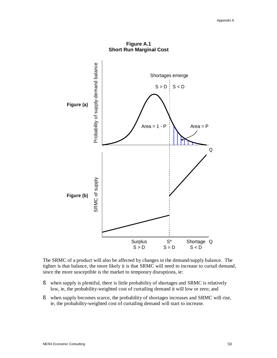

**Figure A.1 Short Run Marginal Cost** 

The SRMC of a product will also be affected by changes in the demand/supply balance. The tighter is that balance, the more likely it is that SRMC will need to increase to curtail demand, since the more susceptible is the market to temporary disruptions, ie:

- § when supply is plentiful, there is little probability of shortages and SRMC is relatively low, ie, the probability-weighted cost of curtailing demand it will low or zero; and
- § when supply becomes scarce, the probability of shortages increases and SRMC will rise, ie, the probability-weighted cost of curtailing demand will start to increase.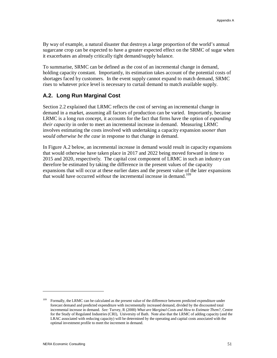By way of example, a natural disaster that destroys a large proportion of the world's annual sugarcane crop can be expected to have a greater expected effect on the SRMC of sugar when it exacerbates an already critically tight demand/supply balance.

To summarise, SRMC can be defined as the cost of an incremental change in demand, holding capacity constant. Importantly, its estimation takes account of the potential costs of shortages faced by customers. In the event supply cannot expand to match demand, SRMC rises to whatever price level is necessary to curtail demand to match available supply.

# **A.2. Long Run Marginal Cost**

Section 2.2 explained that LRMC reflects the cost of serving an incremental change in demand in a market, assuming all factors of production can be varied. Importantly, because LRMC is a long run concept, it accounts for the fact that firms have the option of *expanding their capacity* in order to meet an incremental increase in demand. Measuring LRMC involves estimating the costs involved with undertaking a capacity expansion *sooner than would otherwise be the case* in response to that change in demand.

In Figure A.2 below, an incremental increase in demand would result in capacity expansions that would otherwise have taken place in 2017 and 2022 being moved forward in time to 2015 and 2020, respectively. The capital cost component of LRMC in such an industry can therefore be estimated by taking the difference in the present values of the capacity expansions that will occur at these earlier dates and the present value of the later expansions that would have occurred *without* the incremental increase in demand.<sup>109</sup>

<sup>109</sup> Formally, the LRMC can be calculated as the present value of the difference between predicted expenditure under forecast demand and predicted expenditure with incrementally increased demand, divided by the discounted total incremental increase in demand. *See:* Turvey, R (2000) *What are Marginal Costs and How to Estimate Them?*, Centre for the Study of Regulated Industries (CRI), University of Bath. Note also that the LRMC of adding capacity (and the LRAC associated with reducing capacity) will be determined by the operating and capital costs associated with the optimal investment profile to meet the increment in demand.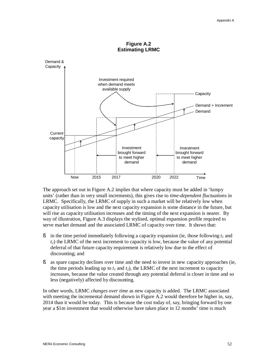



The approach set out in Figure A.2 implies that where capacity must be added in 'lumpy units' (rather than in very small increments), this gives rise to *time-dependent fluctuations* in LRMC. Specifically, the LRMC of supply in such a market will be relatively low when capacity utilisation is low and the next capacity expansion is some distance in the future, but will rise as capacity utilisation increases and the timing of the next expansion is nearer. By way of illustration, Figure A.3 displays the stylised, optimal expansion profile required to serve market demand and the associated LRMC of capacity over time. It shows that:

- § in the time period immediately following a capacity expansion (ie, those following *t<sup>1</sup>* and *t2*) the LRMC of the next increment to capacity is low, because the value of any potential deferral of that future capacity requirement is relatively low due to the effect of discounting; and
- § as spare capacity declines over time and the need to invest in new capacity approaches (ie, the time periods leading up to  $t_1$  and  $t_2$ ), the LRMC of the next increment to capacity increases, because the value created through any potential deferral is closer in time and so less (negatively) affected by discounting.

In other words, LRMC *changes over time* as new capacity is added. The LRMC associated with meeting the incremental demand shown in Figure A.2 would therefore be higher in, say, 2014 than it would be today. This is because the cost today of, say, bringing forward by one year a \$1m investment that would otherwise have taken place in 12 months' time is much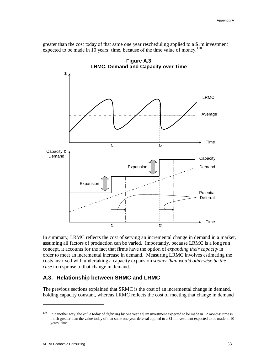greater than the cost today of that same one year rescheduling applied to a \$1m investment expected to be made in 10 years' time, because of the time value of money.<sup>110</sup>



**Figure A.3** 

In summary, LRMC reflects the cost of serving an incremental change in demand in a market, assuming all factors of production can be varied. Importantly, because LRMC is a long run concept, it accounts for the fact that firms have the option of *expanding their capacity* in order to meet an incremental increase in demand. Measuring LRMC involves estimating the costs involved with undertaking a capacity expansion *sooner than would otherwise be the case* in response to that change in demand.

# **A.3. Relationship between SRMC and LRMC**

The previous sections explained that SRMC is the cost of an incremental change in demand, holding capacity constant, whereas LRMC reflects the cost of meeting that change in demand

<sup>110</sup> Put another way, the *value* today of *deferring* by one year a \$1m investment expected to be made in 12 months' time is much greater than the value today of that same one year deferral applied to a \$1m investment expected to be made in 10 years' time.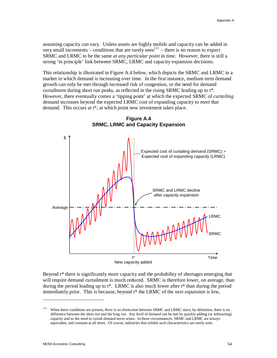assuming capacity can vary. Unless assets are highly mobile and capacity can be added in very small increments – conditions that are rarely seen $111$  – there is no reason to expect SRMC and LRMC to be the same *at any particular point in time*. However, there is still a strong 'in principle' link between SRMC, LRMC and capacity expansion decisions.

This relationship is illustrated in Figure A.4 below, which depicts the SRMC and LRMC in a market in which demand is increasing over time. In the first instance, medium term demand growth can only be met through increased risk of congestion, or the need for demand curtailment during short run peaks, as reflected in the rising SRMC leading up to t\*. However, there eventually comes a 'tipping point' at which the expected SRMC of *curtailing* demand increases beyond the expected LRMC cost of expanding capacity to *meet* that demand. This occurs at t\*, at which point new investment takes place.



**Figure A.4 SRMC, LRMC and Capacity Expansion** 

Beyond t\* there is significantly more capacity and the probability of shortages emerging that will require demand curtailment is much reduced. SRMC is therefore lower, on average, than during the period leading up to  $t^*$ . LRMC is also much lower after  $t^*$  than during the period immediately prior. This is because, beyond t\* the LRMC of the *next expansion* is low,

<sup>111</sup> When these conditions are present, *there is no distinction* between SRMC and LRMC since, by definition, there is no difference between the short run and the long run. Any level of demand can be met by quickly adding (or subtracting) capacity and so the need to curtail demand never arises. In these circumstances, SRMC and LRMC are always equivalent, and constant at all times. Of course, industries that exhibit such characteristics are rarely seen.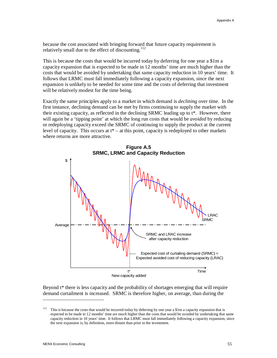because the cost associated with bringing forward that future capacity requirement is relatively small due to the effect of discounting. $112$ 

This is because the costs that would be incurred today by deferring for one year a \$1m a capacity expansion that is expected to be made in 12 months' time are much higher than the costs that would be avoided by undertaking that same capacity reduction in 10 years' time. It follows that LRMC must fall immediately following a capacity expansion, since the next expansion is unlikely to be needed for some time and the costs of deferring that investment will be relatively modest for the time being.

Exactly the same principles apply to a market in which demand is *declining* over time. In the first instance, declining demand can be met by firms continuing to supply the market with their existing capacity, as reflected in the declining SRMC leading up to  $t^*$ . However, there will again be a 'tipping point' at which the long run costs that would be *avoided* by reducing or redeploying capacity exceed the SRMC of continuing to supply the product at the current level of capacity. This occurs at  $t^*$  – at this point, capacity is redeployed to other markets where returns are more attractive.



Beyond t\* there is less capacity and the probability of shortages emerging that will require demand curtailment is increased. SRMC is therefore higher, on average, than during the

<sup>&</sup>lt;sup>112</sup> This is because the costs that would be incurred today by deferring by one year a \$1m a capacity expansion that is expected to be made in 12 months' time are much higher than the costs that would be avoided by undertaking that same capacity reduction in 10 years' time. It follows that LRMC must fall immediately following a capacity expansion, since the next expansion is, by definition, more distant than prior to the investment.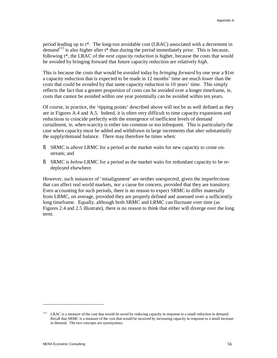period leading up to t\*. The long-run avoidable cost (LRAC) associated with a decrement in demand<sup>113</sup> is also higher after  $t^*$  than during the period immediately prior. This is because, following t\*, the LRAC of the *next capacity reduction* is higher, because the costs that would be avoided by bringing forward that future capacity reduction are relatively *high*.

This is because the costs that would be *avoided* today by *bringing forward* by one year a \$1m a capacity reduction that is expected to be made in 12 months' time are much *lower* than the costs that could be avoided by that same capacity reduction in 10 years' time. This simply reflects the fact that a greater proportion of costs can be avoided over a longer timeframe, ie, costs that cannot be avoided within one year potentially can be avoided within ten years.

Of course, in practice, the 'tipping points' described above will not be as well defined as they are in Figures A.4 and A.5. Indeed, it is often very difficult to time capacity expansions and reductions to coincide perfectly with the emergence of inefficient levels of demand curtailment, ie, when scarcity is either too common or too infrequent. This is particularly the case when capacity must be added and withdrawn in large increments that alter substantially the supply/demand balance. There may therefore be times when:

- § SRMC is *above* LRMC for a period as the market waits for new capacity to come onstream; and
- § SRMC is *below* LRMC for a period as the market waits for redundant capacity to be redeployed elsewhere.

However, such instances of 'misalignment' are neither unexpected, given the imperfections that can affect real world markets, nor a cause for concern, provided that they are transitory. Even accounting for such periods, there is no reason to expect SRMC to differ materially from LRMC, on average, provided they are properly defined and assessed over a sufficiently long timeframe. Equally, although both SRMC and LRMC can fluctuate over time (as Figures 2.4 and 2.5 illustrate), there is no reason to think that either will diverge over the long term.

<sup>&</sup>lt;sup>113</sup> LRAC is a measure of the cost that would be saved by reducing capacity in response to a small reduction in demand. Recall that SRMC is a measure of the cost that would be incurred by increasing capacity in response to a small increase in demand. The two concepts are synonymous.